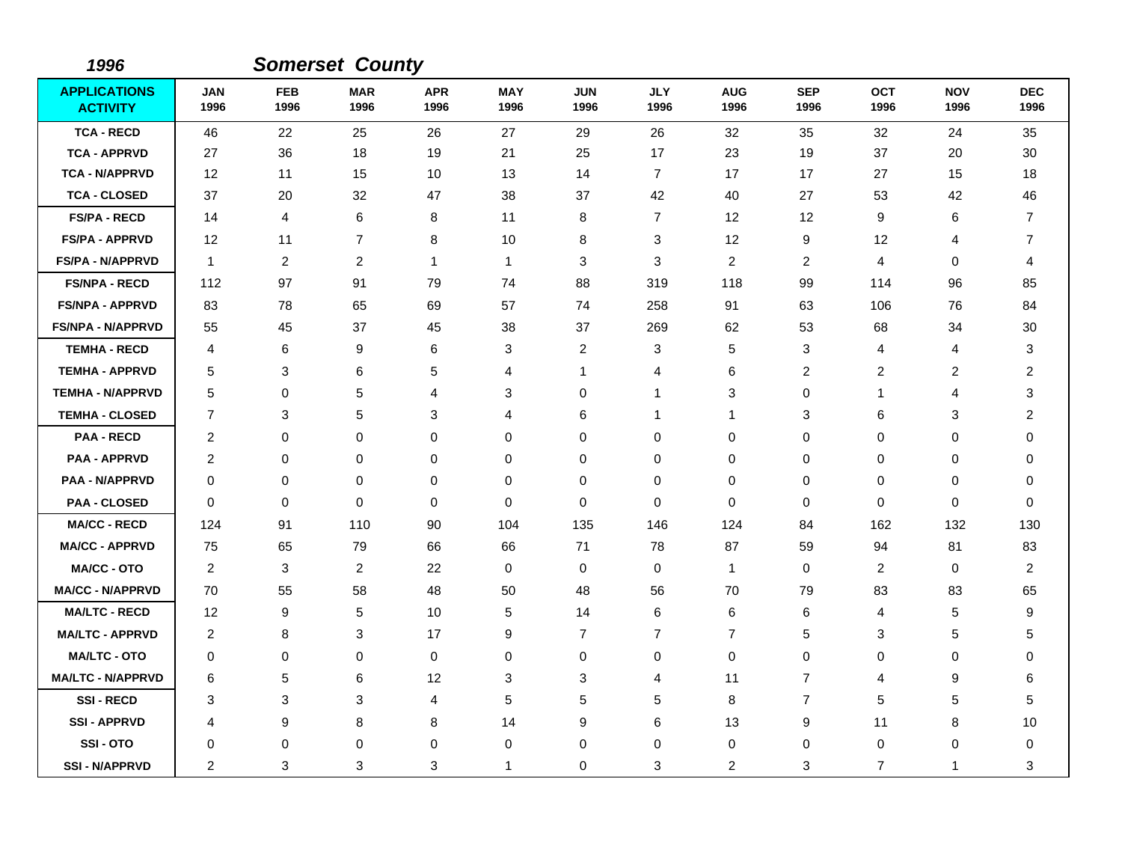| 1996                                   |                    |                    | <b>Somerset County</b> |                    |                    |                    |                    |                    |                    |                    |                    |                    |
|----------------------------------------|--------------------|--------------------|------------------------|--------------------|--------------------|--------------------|--------------------|--------------------|--------------------|--------------------|--------------------|--------------------|
| <b>APPLICATIONS</b><br><b>ACTIVITY</b> | <b>JAN</b><br>1996 | <b>FEB</b><br>1996 | <b>MAR</b><br>1996     | <b>APR</b><br>1996 | <b>MAY</b><br>1996 | <b>JUN</b><br>1996 | <b>JLY</b><br>1996 | <b>AUG</b><br>1996 | <b>SEP</b><br>1996 | <b>OCT</b><br>1996 | <b>NOV</b><br>1996 | <b>DEC</b><br>1996 |
| <b>TCA - RECD</b>                      | 46                 | 22                 | 25                     | 26                 | 27                 | 29                 | 26                 | 32                 | 35                 | 32                 | 24                 | 35                 |
| <b>TCA - APPRVD</b>                    | 27                 | 36                 | 18                     | 19                 | 21                 | 25                 | 17                 | 23                 | 19                 | 37                 | 20                 | 30                 |
| <b>TCA - N/APPRVD</b>                  | 12                 | 11                 | 15                     | 10                 | 13                 | 14                 | $\overline{7}$     | 17                 | 17                 | 27                 | 15                 | 18                 |
| <b>TCA - CLOSED</b>                    | 37                 | 20                 | 32                     | 47                 | 38                 | 37                 | 42                 | 40                 | 27                 | 53                 | 42                 | 46                 |
| <b>FS/PA - RECD</b>                    | 14                 | 4                  | 6                      | 8                  | 11                 | 8                  | $\overline{7}$     | 12                 | 12                 | 9                  | 6                  | 7                  |
| <b>FS/PA - APPRVD</b>                  | 12                 | 11                 | $\overline{7}$         | 8                  | 10                 | 8                  | 3                  | 12                 | 9                  | 12                 | 4                  | 7                  |
| <b>FS/PA - N/APPRVD</b>                | $\mathbf{1}$       | 2                  | $\overline{c}$         | 1                  | $\mathbf{1}$       | 3                  | $\mathbf{3}$       | $\overline{c}$     | 2                  | 4                  | 0                  | 4                  |
| <b>FS/NPA - RECD</b>                   | 112                | 97                 | 91                     | 79                 | 74                 | 88                 | 319                | 118                | 99                 | 114                | 96                 | 85                 |
| <b>FS/NPA - APPRVD</b>                 | 83                 | 78                 | 65                     | 69                 | 57                 | 74                 | 258                | 91                 | 63                 | 106                | 76                 | 84                 |
| <b>FS/NPA - N/APPRVD</b>               | 55                 | 45                 | 37                     | 45                 | 38                 | 37                 | 269                | 62                 | 53                 | 68                 | 34                 | 30                 |
| <b>TEMHA - RECD</b>                    | 4                  | 6                  | 9                      | 6                  | 3                  | $\overline{c}$     | 3                  | 5                  | 3                  | 4                  | 4                  | 3                  |
| <b>TEMHA - APPRVD</b>                  | 5                  | 3                  | 6                      | 5                  | 4                  | 1                  | 4                  | 6                  | 2                  | $\overline{c}$     | 2                  | $\overline{c}$     |
| <b>TEMHA - N/APPRVD</b>                | 5                  | 0                  | 5                      | 4                  | 3                  | 0                  | 1                  | 3                  | $\Omega$           | $\mathbf 1$        | 4                  | 3                  |
| <b>TEMHA - CLOSED</b>                  | $\overline{7}$     | 3                  | 5                      | 3                  | 4                  | 6                  | 1                  | 1                  | 3                  | 6                  | 3                  | 2                  |
| <b>PAA - RECD</b>                      | $\overline{2}$     | $\Omega$           | $\Omega$               | $\Omega$           | 0                  | $\Omega$           | $\Omega$           | 0                  | $\Omega$           | $\Omega$           | $\Omega$           | $\Omega$           |
| <b>PAA - APPRVD</b>                    | 2                  | 0                  | $\mathbf 0$            | 0                  | $\mathbf 0$        | $\mathbf 0$        | 0                  | 0                  | 0                  | 0                  | 0                  | 0                  |
| <b>PAA - N/APPRVD</b>                  | 0                  | 0                  | $\mathbf 0$            | 0                  | $\pmb{0}$          | $\mathbf 0$        | 0                  | 0                  | $\mathbf 0$        | 0                  | $\mathbf 0$        | 0                  |
| <b>PAA - CLOSED</b>                    | $\mathbf 0$        | 0                  | $\mathbf 0$            | $\mathbf 0$        | 0                  | 0                  | $\mathbf 0$        | 0                  | 0                  | 0                  | 0                  | 0                  |
| <b>MA/CC - RECD</b>                    | 124                | 91                 | 110                    | 90                 | 104                | 135                | 146                | 124                | 84                 | 162                | 132                | 130                |
| <b>MA/CC - APPRVD</b>                  | 75                 | 65                 | 79                     | 66                 | 66                 | 71                 | 78                 | 87                 | 59                 | 94                 | 81                 | 83                 |
| <b>MA/CC - OTO</b>                     | 2                  | 3                  | $\overline{2}$         | 22                 | 0                  | 0                  | 0                  | $\mathbf{1}$       | $\mathbf 0$        | $\overline{c}$     | 0                  | $\overline{c}$     |
| <b>MA/CC - N/APPRVD</b>                | 70                 | 55                 | 58                     | 48                 | 50                 | 48                 | 56                 | 70                 | 79                 | 83                 | 83                 | 65                 |
| <b>MA/LTC - RECD</b>                   | 12                 | 9                  | 5                      | 10                 | 5                  | 14                 | 6                  | 6                  | 6                  | 4                  | 5                  | 9                  |
| <b>MA/LTC - APPRVD</b>                 | 2                  | 8                  | 3                      | 17                 | 9                  | 7                  | $\overline{7}$     | 7                  | 5                  | 3                  | 5                  | 5                  |
| <b>MA/LTC - OTO</b>                    | 0                  | 0                  | 0                      | 0                  | 0                  | 0                  | 0                  | 0                  | 0                  | 0                  | 0                  | 0                  |
| <b>MA/LTC - N/APPRVD</b>               | 6                  | 5                  | 6                      | 12                 | 3                  | 3                  | 4                  | 11                 | $\overline{7}$     | 4                  | 9                  | 6                  |
| <b>SSI-RECD</b>                        | 3                  | 3                  | 3                      | 4                  | 5                  | 5                  | 5                  | 8                  | $\overline{7}$     | 5                  | 5                  | 5                  |
| <b>SSI - APPRVD</b>                    | 4                  | 9                  | 8                      | 8                  | 14                 | 9                  | 6                  | 13                 | 9                  | 11                 | 8                  | 10                 |
| SSI-OTO                                | 0                  | 0                  | $\mathbf 0$            | 0                  | 0                  | 0                  | $\pmb{0}$          | 0                  | $\mathbf 0$        | 0                  | 0                  | 0                  |
| <b>SSI - N/APPRVD</b>                  | $\overline{2}$     | 3                  | 3                      | 3                  | $\mathbf{1}$       | $\Omega$           | 3                  | 2                  | 3                  | $\overline{7}$     | $\mathbf 1$        | 3                  |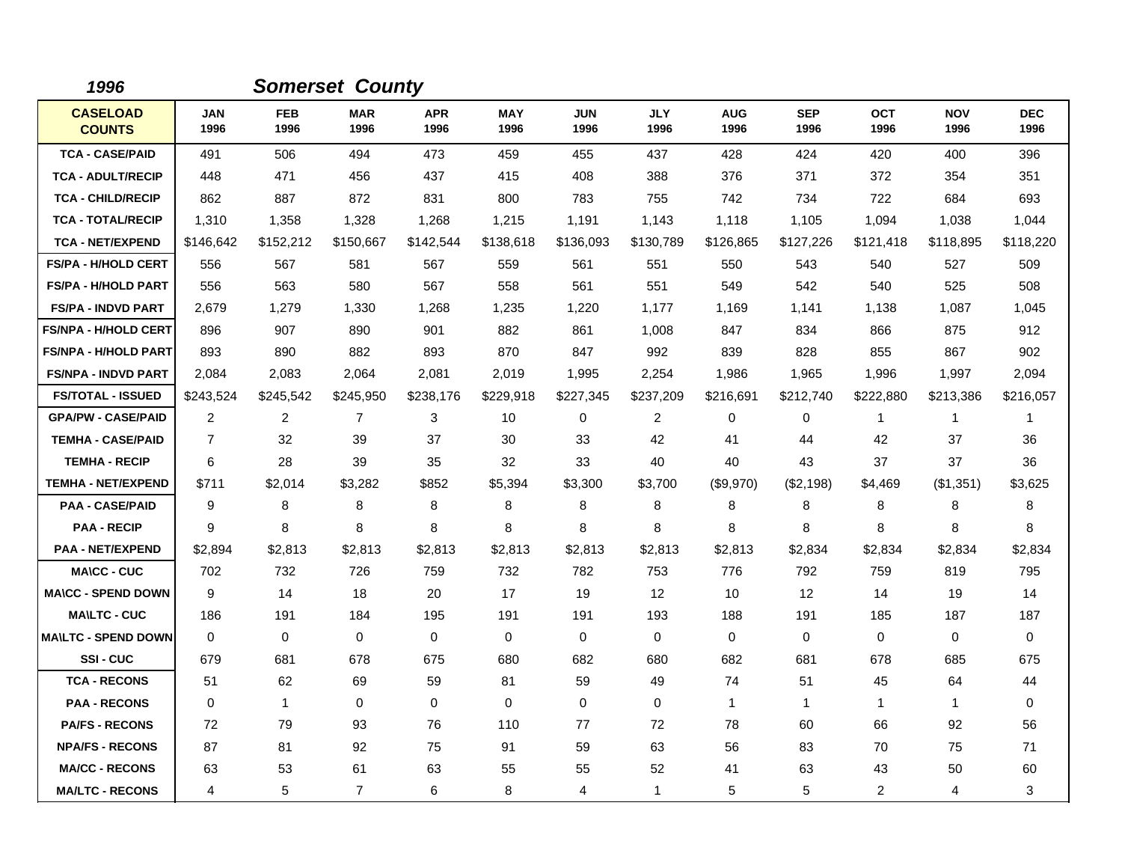| 1996                             |                    |                    | <b>Somerset County</b> |                    |                    |                    |                         |                    |                    |                    |                    |                    |
|----------------------------------|--------------------|--------------------|------------------------|--------------------|--------------------|--------------------|-------------------------|--------------------|--------------------|--------------------|--------------------|--------------------|
| <b>CASELOAD</b><br><b>COUNTS</b> | <b>JAN</b><br>1996 | <b>FEB</b><br>1996 | <b>MAR</b><br>1996     | <b>APR</b><br>1996 | <b>MAY</b><br>1996 | <b>JUN</b><br>1996 | <b>JLY</b><br>1996      | <b>AUG</b><br>1996 | <b>SEP</b><br>1996 | <b>OCT</b><br>1996 | <b>NOV</b><br>1996 | <b>DEC</b><br>1996 |
| <b>TCA - CASE/PAID</b>           | 491                | 506                | 494                    | 473                | 459                | 455                | 437                     | 428                | 424                | 420                | 400                | 396                |
| <b>TCA - ADULT/RECIP</b>         | 448                | 471                | 456                    | 437                | 415                | 408                | 388                     | 376                | 371                | 372                | 354                | 351                |
| <b>TCA - CHILD/RECIP</b>         | 862                | 887                | 872                    | 831                | 800                | 783                | 755                     | 742                | 734                | 722                | 684                | 693                |
| <b>TCA - TOTAL/RECIP</b>         | 1,310              | 1,358              | 1,328                  | 1,268              | 1,215              | 1,191              | 1,143                   | 1,118              | 1,105              | 1,094              | 1,038              | 1,044              |
| <b>TCA - NET/EXPEND</b>          | \$146,642          | \$152,212          | \$150,667              | \$142,544          | \$138,618          | \$136,093          | \$130,789               | \$126,865          | \$127,226          | \$121,418          | \$118,895          | \$118,220          |
| <b>FS/PA - H/HOLD CERT</b>       | 556                | 567                | 581                    | 567                | 559                | 561                | 551                     | 550                | 543                | 540                | 527                | 509                |
| <b>FS/PA - H/HOLD PART</b>       | 556                | 563                | 580                    | 567                | 558                | 561                | 551                     | 549                | 542                | 540                | 525                | 508                |
| <b>FS/PA - INDVD PART</b>        | 2,679              | 1,279              | 1,330                  | 1,268              | 1,235              | 1,220              | 1,177                   | 1,169              | 1,141              | 1,138              | 1,087              | 1,045              |
| <b>FS/NPA - H/HOLD CERT</b>      | 896                | 907                | 890                    | 901                | 882                | 861                | 1,008                   | 847                | 834                | 866                | 875                | 912                |
| <b>FS/NPA - H/HOLD PART</b>      | 893                | 890                | 882                    | 893                | 870                | 847                | 992                     | 839                | 828                | 855                | 867                | 902                |
| <b>FS/NPA - INDVD PART</b>       | 2,084              | 2,083              | 2,064                  | 2,081              | 2,019              | 1,995              | 2,254                   | 1,986              | 1,965              | 1,996              | 1,997              | 2,094              |
| <b>FS/TOTAL - ISSUED</b>         | \$243,524          | \$245,542          | \$245,950              | \$238,176          | \$229,918          | \$227,345          | \$237,209               | \$216,691          | \$212,740          | \$222,880          | \$213,386          | \$216,057          |
| <b>GPA/PW - CASE/PAID</b>        | 2                  | $\overline{c}$     | $\overline{7}$         | 3                  | 10                 | 0                  | $\overline{\mathbf{c}}$ | 0                  | 0                  | $\mathbf{1}$       | $\mathbf{1}$       | 1                  |
| <b>TEMHA - CASE/PAID</b>         | $\overline{7}$     | 32                 | 39                     | 37                 | 30                 | 33                 | 42                      | 41                 | 44                 | 42                 | 37                 | 36                 |
| <b>TEMHA - RECIP</b>             | 6                  | 28                 | 39                     | 35                 | 32                 | 33                 | 40                      | 40                 | 43                 | 37                 | 37                 | 36                 |
| <b>TEMHA - NET/EXPEND</b>        | \$711              | \$2,014            | \$3,282                | \$852              | \$5,394            | \$3,300            | \$3,700                 | (\$9,970)          | (\$2,198)          | \$4,469            | (\$1,351)          | \$3,625            |
| <b>PAA - CASE/PAID</b>           | 9                  | 8                  | 8                      | 8                  | 8                  | 8                  | 8                       | 8                  | 8                  | 8                  | 8                  | 8                  |
| <b>PAA - RECIP</b>               | 9                  | 8                  | 8                      | 8                  | 8                  | 8                  | 8                       | 8                  | 8                  | 8                  | 8                  | 8                  |
| <b>PAA - NET/EXPEND</b>          | \$2,894            | \$2,813            | \$2,813                | \$2,813            | \$2,813            | \$2,813            | \$2,813                 | \$2,813            | \$2,834            | \$2,834            | \$2,834            | \$2,834            |
| <b>MA\CC - CUC</b>               | 702                | 732                | 726                    | 759                | 732                | 782                | 753                     | 776                | 792                | 759                | 819                | 795                |
| <b>MA\CC - SPEND DOWN</b>        | 9                  | 14                 | 18                     | 20                 | 17                 | 19                 | 12                      | 10                 | 12                 | 14                 | 19                 | 14                 |
| <b>MA\LTC - CUC</b>              | 186                | 191                | 184                    | 195                | 191                | 191                | 193                     | 188                | 191                | 185                | 187                | 187                |
| <b>MAILTC - SPEND DOWN</b>       | $\mathbf 0$        | 0                  | 0                      | 0                  | $\mathbf 0$        | $\mathbf 0$        | 0                       | 0                  | $\mathbf 0$        | 0                  | $\mathbf 0$        | 0                  |
| SSI-CUC                          | 679                | 681                | 678                    | 675                | 680                | 682                | 680                     | 682                | 681                | 678                | 685                | 675                |
| <b>TCA - RECONS</b>              | 51                 | 62                 | 69                     | 59                 | 81                 | 59                 | 49                      | 74                 | 51                 | 45                 | 64                 | 44                 |
| <b>PAA - RECONS</b>              | $\Omega$           | $\mathbf{1}$       | $\mathbf 0$            | $\Omega$           | 0                  | $\Omega$           | $\Omega$                | $\mathbf{1}$       | $\mathbf{1}$       | $\mathbf 1$        | $\mathbf{1}$       | 0                  |
| <b>PA/FS - RECONS</b>            | 72                 | 79                 | 93                     | 76                 | 110                | 77                 | 72                      | 78                 | 60                 | 66                 | 92                 | 56                 |
| <b>NPA/FS - RECONS</b>           | 87                 | 81                 | 92                     | 75                 | 91                 | 59                 | 63                      | 56                 | 83                 | 70                 | 75                 | 71                 |
| <b>MA/CC - RECONS</b>            | 63                 | 53                 | 61                     | 63                 | 55                 | 55                 | 52                      | 41                 | 63                 | 43                 | 50                 | 60                 |
| <b>MA/LTC - RECONS</b>           | 4                  | 5                  | $\overline{7}$         | 6                  | 8                  | 4                  | 1                       | 5                  | 5                  | $\overline{2}$     | 4                  | 3                  |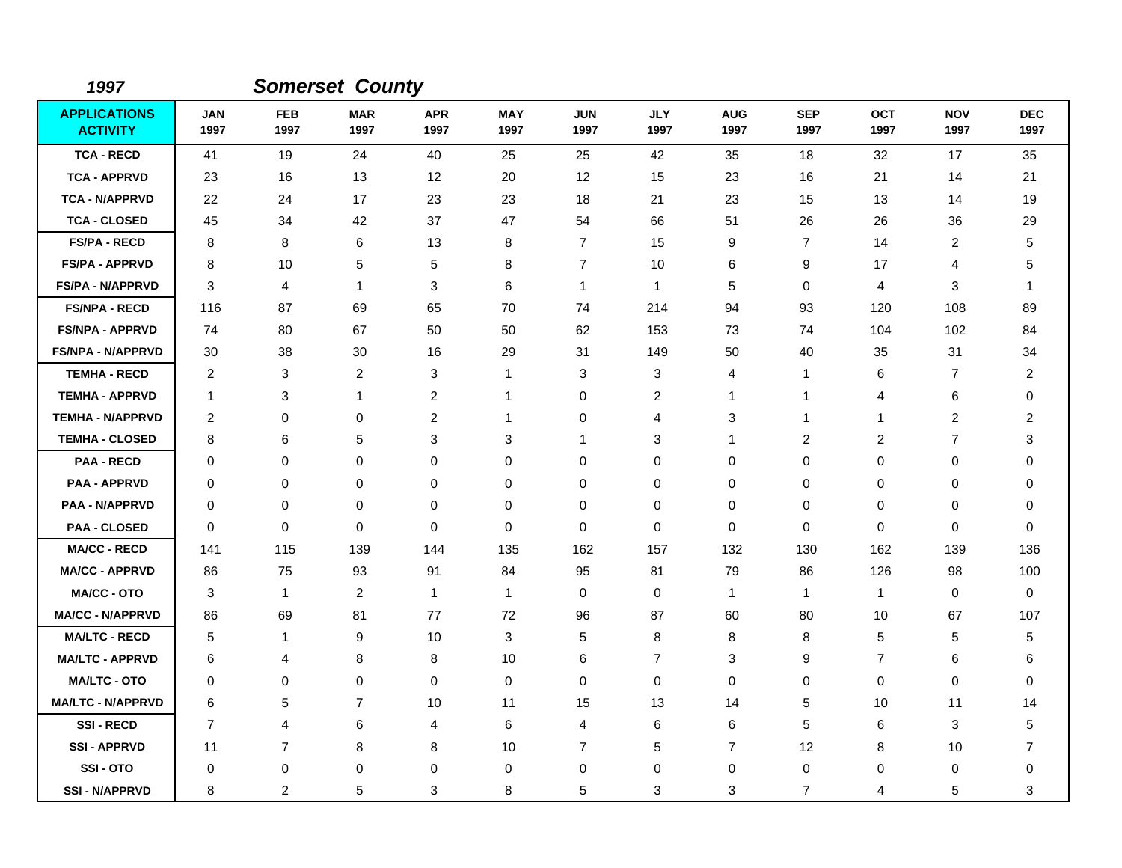| 1997                                   |                    |                    | <b>Somerset County</b> |                    |                    |                    |                    |                    |                    |                    |                    |                    |
|----------------------------------------|--------------------|--------------------|------------------------|--------------------|--------------------|--------------------|--------------------|--------------------|--------------------|--------------------|--------------------|--------------------|
| <b>APPLICATIONS</b><br><b>ACTIVITY</b> | <b>JAN</b><br>1997 | <b>FEB</b><br>1997 | <b>MAR</b><br>1997     | <b>APR</b><br>1997 | <b>MAY</b><br>1997 | <b>JUN</b><br>1997 | <b>JLY</b><br>1997 | <b>AUG</b><br>1997 | <b>SEP</b><br>1997 | <b>OCT</b><br>1997 | <b>NOV</b><br>1997 | <b>DEC</b><br>1997 |
| <b>TCA - RECD</b>                      | 41                 | 19                 | 24                     | 40                 | 25                 | 25                 | 42                 | 35                 | 18                 | 32                 | 17                 | 35                 |
| <b>TCA - APPRVD</b>                    | 23                 | 16                 | 13                     | $12 \,$            | 20                 | 12                 | 15                 | 23                 | 16                 | 21                 | 14                 | 21                 |
| <b>TCA - N/APPRVD</b>                  | 22                 | 24                 | 17                     | 23                 | 23                 | 18                 | 21                 | 23                 | 15                 | 13                 | 14                 | 19                 |
| <b>TCA - CLOSED</b>                    | 45                 | 34                 | 42                     | 37                 | 47                 | 54                 | 66                 | 51                 | 26                 | 26                 | 36                 | 29                 |
| <b>FS/PA - RECD</b>                    | 8                  | 8                  | 6                      | 13                 | 8                  | $\overline{7}$     | 15                 | 9                  | $\overline{7}$     | 14                 | $\overline{c}$     | 5                  |
| <b>FS/PA - APPRVD</b>                  | 8                  | 10                 | 5                      | 5                  | 8                  | $\overline{7}$     | 10                 | 6                  | 9                  | 17                 | 4                  | 5                  |
| <b>FS/PA - N/APPRVD</b>                | 3                  | 4                  | 1                      | 3                  | 6                  | $\mathbf{1}$       | $\mathbf{1}$       | 5                  | $\mathbf 0$        | $\overline{4}$     | 3                  | 1                  |
| <b>FS/NPA - RECD</b>                   | 116                | 87                 | 69                     | 65                 | 70                 | 74                 | 214                | 94                 | 93                 | 120                | 108                | 89                 |
| <b>FS/NPA - APPRVD</b>                 | 74                 | 80                 | 67                     | 50                 | 50                 | 62                 | 153                | 73                 | 74                 | 104                | 102                | 84                 |
| <b>FS/NPA - N/APPRVD</b>               | 30                 | 38                 | 30                     | 16                 | 29                 | 31                 | 149                | 50                 | 40                 | 35                 | 31                 | 34                 |
| <b>TEMHA - RECD</b>                    | $\overline{2}$     | 3                  | $\overline{c}$         | 3                  | $\mathbf{1}$       | 3                  | 3                  | 4                  | -1                 | 6                  | 7                  | 2                  |
| <b>TEMHA - APPRVD</b>                  | $\mathbf{1}$       | 3                  | 1                      | $\overline{2}$     | $\mathbf{1}$       | $\mathbf 0$        | 2                  | -1                 | -1                 | 4                  | 6                  | 0                  |
| <b>TEMHA - N/APPRVD</b>                | $\overline{c}$     | $\pmb{0}$          | 0                      | $\overline{c}$     | 1                  | 0                  | 4                  | 3                  | -1                 | 1                  | $\boldsymbol{2}$   | $\overline{c}$     |
| <b>TEMHA - CLOSED</b>                  | 8                  | 6                  | 5                      | 3                  | 3                  | $\mathbf{1}$       | 3                  | -1                 | $\overline{c}$     | $\overline{c}$     | $\overline{7}$     | 3                  |
| <b>PAA - RECD</b>                      | 0                  | $\mathbf 0$        | 0                      | $\mathbf 0$        | 0                  | $\mathbf 0$        | 0                  | $\mathbf 0$        | 0                  | $\Omega$           | $\mathbf 0$        | 0                  |
| <b>PAA - APPRVD</b>                    | 0                  | 0                  | 0                      | 0                  | 0                  | 0                  | 0                  | 0                  | 0                  | 0                  | 0                  | 0                  |
| <b>PAA - N/APPRVD</b>                  | 0                  | 0                  | 0                      | $\mathbf 0$        | 0                  | $\mathbf 0$        | 0                  | 0                  | 0                  | 0                  | 0                  | 0                  |
| <b>PAA - CLOSED</b>                    | 0                  | 0                  | 0                      | 0                  | 0                  | $\mathbf 0$        | 0                  | 0                  | 0                  | 0                  | 0                  | 0                  |
| <b>MA/CC - RECD</b>                    | 141                | 115                | 139                    | 144                | 135                | 162                | 157                | 132                | 130                | 162                | 139                | 136                |
| <b>MA/CC - APPRVD</b>                  | 86                 | 75                 | 93                     | 91                 | 84                 | 95                 | 81                 | 79                 | 86                 | 126                | 98                 | 100                |
| <b>MA/CC - OTO</b>                     | 3                  | 1                  | $\overline{c}$         | $\mathbf{1}$       | $\mathbf{1}$       | $\mathbf 0$        | 0                  | $\mathbf{1}$       | $\overline{1}$     | $\mathbf{1}$       | 0                  | $\mathbf 0$        |
| <b>MA/CC - N/APPRVD</b>                | 86                 | 69                 | 81                     | 77                 | 72                 | 96                 | 87                 | 60                 | 80                 | 10                 | 67                 | 107                |
| <b>MA/LTC - RECD</b>                   | 5                  | 1                  | 9                      | 10                 | 3                  | 5                  | 8                  | 8                  | 8                  | 5                  | 5                  | 5                  |
| <b>MA/LTC - APPRVD</b>                 | 6                  | 4                  | 8                      | 8                  | 10                 | 6                  | $\overline{7}$     | 3                  | 9                  | $\overline{7}$     | 6                  | 6                  |
| <b>MA/LTC - OTO</b>                    | 0                  | $\mathbf 0$        | 0                      | 0                  | 0                  | $\mathbf 0$        | 0                  | $\mathbf 0$        | 0                  | 0                  | $\mathbf 0$        | 0                  |
| <b>MA/LTC - N/APPRVD</b>               | 6                  | 5                  | $\overline{7}$         | 10                 | 11                 | 15                 | 13                 | 14                 | 5                  | 10                 | 11                 | 14                 |
| <b>SSI-RECD</b>                        | $\overline{7}$     | $\overline{4}$     | 6                      | 4                  | 6                  | 4                  | 6                  | 6                  | 5                  | 6                  | 3                  | 5                  |
| <b>SSI-APPRVD</b>                      | 11                 | $\overline{7}$     | 8                      | 8                  | 10                 | $\overline{7}$     | 5                  | $\overline{7}$     | 12                 | 8                  | 10                 | 7                  |
| SSI-OTO                                | 0                  | 0                  | 0                      | 0                  | 0                  | 0                  | 0                  | 0                  | 0                  | 0                  | 0                  | 0                  |
| <b>SSI-N/APPRVD</b>                    | 8                  | 2                  | 5                      | 3                  | 8                  | 5                  | 3                  | 3                  | 7                  | 4                  | 5                  | 3                  |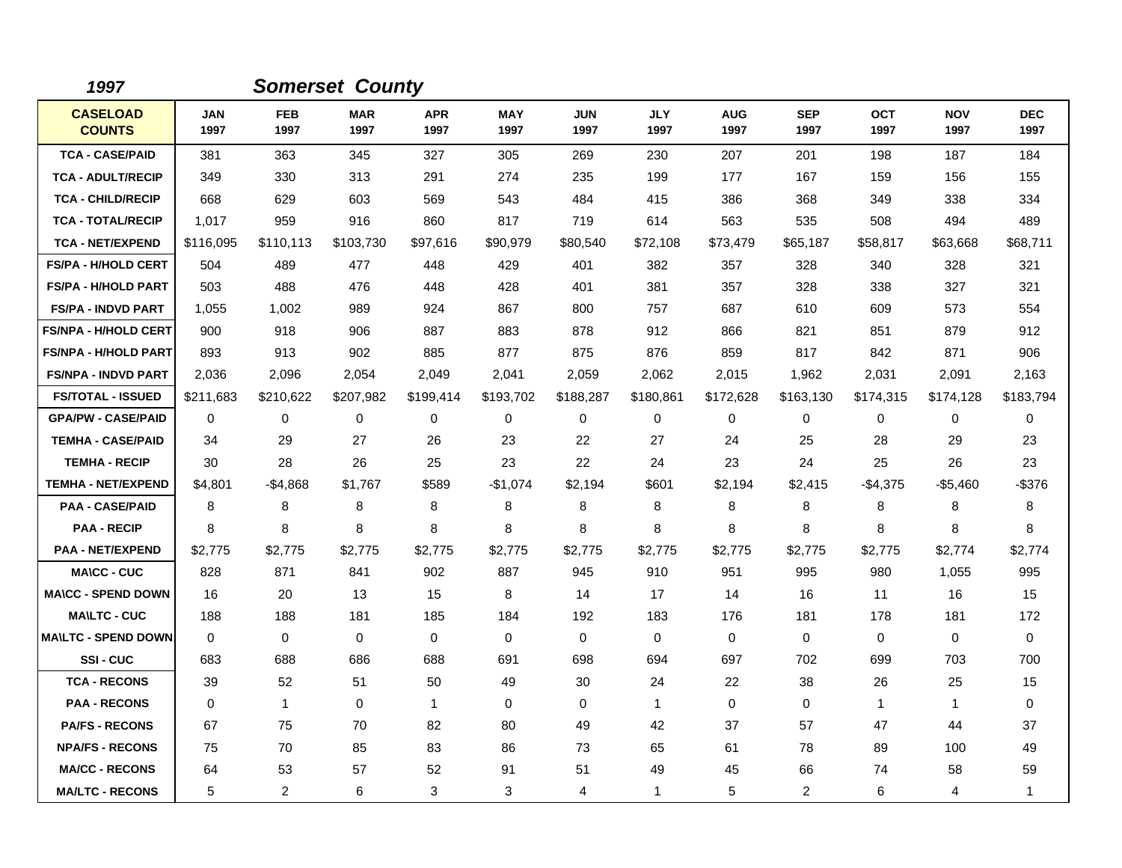| 1997                             |                    |                    | <b>Somerset County</b> |                    |                    |                    |                    |                    |                    |                    |                    |                    |
|----------------------------------|--------------------|--------------------|------------------------|--------------------|--------------------|--------------------|--------------------|--------------------|--------------------|--------------------|--------------------|--------------------|
| <b>CASELOAD</b><br><b>COUNTS</b> | <b>JAN</b><br>1997 | <b>FEB</b><br>1997 | <b>MAR</b><br>1997     | <b>APR</b><br>1997 | <b>MAY</b><br>1997 | <b>JUN</b><br>1997 | <b>JLY</b><br>1997 | <b>AUG</b><br>1997 | <b>SEP</b><br>1997 | <b>OCT</b><br>1997 | <b>NOV</b><br>1997 | <b>DEC</b><br>1997 |
| <b>TCA - CASE/PAID</b>           | 381                | 363                | 345                    | 327                | 305                | 269                | 230                | 207                | 201                | 198                | 187                | 184                |
| <b>TCA - ADULT/RECIP</b>         | 349                | 330                | 313                    | 291                | 274                | 235                | 199                | 177                | 167                | 159                | 156                | 155                |
| <b>TCA - CHILD/RECIP</b>         | 668                | 629                | 603                    | 569                | 543                | 484                | 415                | 386                | 368                | 349                | 338                | 334                |
| <b>TCA - TOTAL/RECIP</b>         | 1,017              | 959                | 916                    | 860                | 817                | 719                | 614                | 563                | 535                | 508                | 494                | 489                |
| <b>TCA - NET/EXPEND</b>          | \$116,095          | \$110,113          | \$103,730              | \$97,616           | \$90,979           | \$80,540           | \$72,108           | \$73,479           | \$65,187           | \$58,817           | \$63,668           | \$68,711           |
| <b>FS/PA - H/HOLD CERT</b>       | 504                | 489                | 477                    | 448                | 429                | 401                | 382                | 357                | 328                | 340                | 328                | 321                |
| <b>FS/PA - H/HOLD PART</b>       | 503                | 488                | 476                    | 448                | 428                | 401                | 381                | 357                | 328                | 338                | 327                | 321                |
| <b>FS/PA - INDVD PART</b>        | 1,055              | 1,002              | 989                    | 924                | 867                | 800                | 757                | 687                | 610                | 609                | 573                | 554                |
| <b>FS/NPA - H/HOLD CERT</b>      | 900                | 918                | 906                    | 887                | 883                | 878                | 912                | 866                | 821                | 851                | 879                | 912                |
| <b>FS/NPA - H/HOLD PART</b>      | 893                | 913                | 902                    | 885                | 877                | 875                | 876                | 859                | 817                | 842                | 871                | 906                |
| <b>FS/NPA - INDVD PART</b>       | 2,036              | 2,096              | 2,054                  | 2,049              | 2,041              | 2,059              | 2,062              | 2,015              | 1,962              | 2,031              | 2,091              | 2,163              |
| <b>FS/TOTAL - ISSUED</b>         | \$211,683          | \$210,622          | \$207,982              | \$199,414          | \$193,702          | \$188,287          | \$180,861          | \$172,628          | \$163,130          | \$174,315          | \$174,128          | \$183,794          |
| <b>GPA/PW - CASE/PAID</b>        | 0                  | 0                  | 0                      | 0                  | 0                  | 0                  | 0                  | 0                  | 0                  | 0                  | 0                  | 0                  |
| <b>TEMHA - CASE/PAID</b>         | 34                 | 29                 | 27                     | 26                 | 23                 | 22                 | 27                 | 24                 | 25                 | 28                 | 29                 | 23                 |
| <b>TEMHA - RECIP</b>             | 30                 | 28                 | 26                     | 25                 | 23                 | 22                 | 24                 | 23                 | 24                 | 25                 | 26                 | 23                 |
| <b>TEMHA - NET/EXPEND</b>        | \$4,801            | -\$4,868           | \$1,767                | \$589              | $-$1,074$          | \$2,194            | \$601              | \$2,194            | \$2,415            | $-$4,375$          | -\$5,460           | $-$376$            |
| <b>PAA - CASE/PAID</b>           | 8                  | 8                  | 8                      | 8                  | 8                  | 8                  | 8                  | 8                  | 8                  | 8                  | 8                  | 8                  |
| <b>PAA - RECIP</b>               | 8                  | 8                  | 8                      | 8                  | 8                  | 8                  | 8                  | 8                  | 8                  | 8                  | 8                  | 8                  |
| <b>PAA - NET/EXPEND</b>          | \$2,775            | \$2,775            | \$2,775                | \$2,775            | \$2,775            | \$2,775            | \$2,775            | \$2,775            | \$2,775            | \$2,775            | \$2,774            | \$2,774            |
| <b>MA\CC - CUC</b>               | 828                | 871                | 841                    | 902                | 887                | 945                | 910                | 951                | 995                | 980                | 1,055              | 995                |
| <b>MA\CC - SPEND DOWN</b>        | 16                 | 20                 | 13                     | 15                 | 8                  | 14                 | 17                 | 14                 | 16                 | 11                 | 16                 | 15                 |
| <b>MA\LTC - CUC</b>              | 188                | 188                | 181                    | 185                | 184                | 192                | 183                | 176                | 181                | 178                | 181                | 172                |
| <b>MAILTC - SPEND DOWN</b>       | 0                  | 0                  | $\mathbf 0$            | $\mathbf 0$        | 0                  | $\mathbf 0$        | $\mathbf 0$        | 0                  | $\mathbf 0$        | 0                  | $\mathbf 0$        | $\mathbf 0$        |
| SSI-CUC                          | 683                | 688                | 686                    | 688                | 691                | 698                | 694                | 697                | 702                | 699                | 703                | 700                |
| <b>TCA - RECONS</b>              | 39                 | 52                 | 51                     | 50                 | 49                 | 30                 | 24                 | 22                 | 38                 | 26                 | 25                 | 15                 |
| <b>PAA - RECONS</b>              | 0                  | $\mathbf{1}$       | $\mathbf 0$            | $\mathbf{1}$       | 0                  | $\mathbf 0$        | $\mathbf{1}$       | 0                  | $\mathbf 0$        | $\mathbf 1$        | $\mathbf{1}$       | 0                  |
| <b>PA/FS - RECONS</b>            | 67                 | 75                 | 70                     | 82                 | 80                 | 49                 | 42                 | 37                 | 57                 | 47                 | 44                 | 37                 |
| <b>NPA/FS - RECONS</b>           | 75                 | 70                 | 85                     | 83                 | 86                 | 73                 | 65                 | 61                 | 78                 | 89                 | 100                | 49                 |
| <b>MA/CC - RECONS</b>            | 64                 | 53                 | 57                     | 52                 | 91                 | 51                 | 49                 | 45                 | 66                 | 74                 | 58                 | 59                 |
| <b>MA/LTC - RECONS</b>           | 5                  | $\overline{2}$     | 6                      | 3                  | 3                  | 4                  | 1                  | 5                  | $\overline{c}$     | 6                  | 4                  | $\mathbf{1}$       |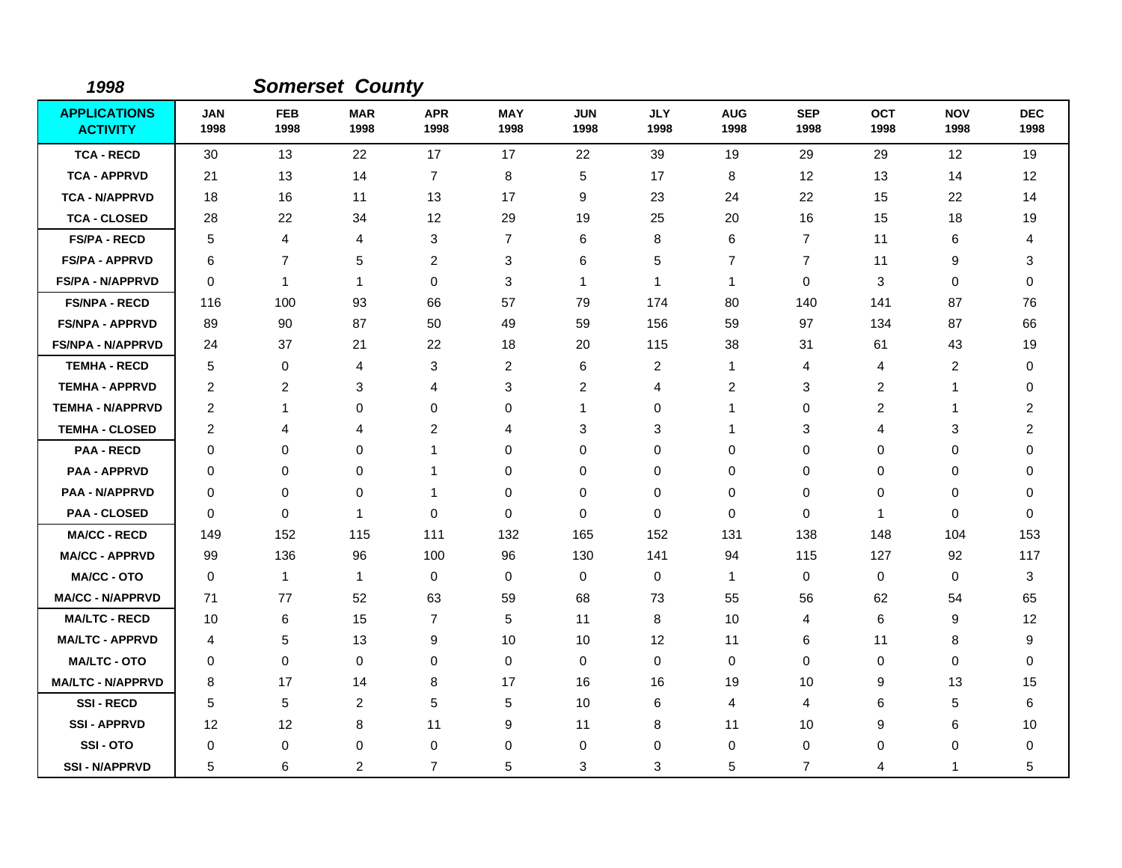| 1998                                   |                    |                    | <b>Somerset County</b> |                    |                    |                    |                         |                    |                    |                    |                    |                    |
|----------------------------------------|--------------------|--------------------|------------------------|--------------------|--------------------|--------------------|-------------------------|--------------------|--------------------|--------------------|--------------------|--------------------|
| <b>APPLICATIONS</b><br><b>ACTIVITY</b> | <b>JAN</b><br>1998 | <b>FEB</b><br>1998 | <b>MAR</b><br>1998     | <b>APR</b><br>1998 | <b>MAY</b><br>1998 | <b>JUN</b><br>1998 | <b>JLY</b><br>1998      | <b>AUG</b><br>1998 | <b>SEP</b><br>1998 | <b>OCT</b><br>1998 | <b>NOV</b><br>1998 | <b>DEC</b><br>1998 |
| <b>TCA - RECD</b>                      | 30                 | 13                 | 22                     | 17                 | 17                 | 22                 | 39                      | 19                 | 29                 | 29                 | 12                 | 19                 |
| <b>TCA - APPRVD</b>                    | 21                 | 13                 | 14                     | $\overline{7}$     | 8                  | 5                  | 17                      | 8                  | 12                 | 13                 | 14                 | 12                 |
| <b>TCA - N/APPRVD</b>                  | 18                 | 16                 | 11                     | 13                 | 17                 | 9                  | 23                      | 24                 | 22                 | 15                 | 22                 | 14                 |
| <b>TCA - CLOSED</b>                    | 28                 | 22                 | 34                     | 12                 | 29                 | 19                 | 25                      | 20                 | 16                 | 15                 | 18                 | 19                 |
| <b>FS/PA - RECD</b>                    | 5                  | 4                  | 4                      | 3                  | $\overline{7}$     | 6                  | 8                       | 6                  | $\overline{7}$     | 11                 | 6                  | 4                  |
| <b>FS/PA - APPRVD</b>                  | 6                  | $\overline{7}$     | 5                      | $\overline{2}$     | 3                  | 6                  | 5                       | 7                  | $\overline{7}$     | 11                 | 9                  | 3                  |
| <b>FS/PA - N/APPRVD</b>                | 0                  | $\mathbf 1$        | 1                      | $\mathbf 0$        | 3                  | 1                  | $\mathbf{1}$            | 1                  | $\mathbf 0$        | 3                  | $\mathbf 0$        | $\mathbf 0$        |
| <b>FS/NPA - RECD</b>                   | 116                | 100                | 93                     | 66                 | 57                 | 79                 | 174                     | 80                 | 140                | 141                | 87                 | 76                 |
| <b>FS/NPA - APPRVD</b>                 | 89                 | 90                 | 87                     | 50                 | 49                 | 59                 | 156                     | 59                 | 97                 | 134                | 87                 | 66                 |
| <b>FS/NPA - N/APPRVD</b>               | 24                 | 37                 | 21                     | 22                 | 18                 | 20                 | 115                     | 38                 | 31                 | 61                 | 43                 | 19                 |
| <b>TEMHA - RECD</b>                    | 5                  | 0                  | 4                      | 3                  | $\overline{c}$     | 6                  | $\overline{\mathbf{c}}$ | 1                  | 4                  | 4                  | 2                  | $\Omega$           |
| <b>TEMHA - APPRVD</b>                  | 2                  | $\overline{c}$     | 3                      | 4                  | 3                  | $\overline{2}$     | 4                       | $\overline{c}$     | 3                  | $\overline{2}$     | $\mathbf{1}$       | 0                  |
| <b>TEMHA - N/APPRVD</b>                | 2                  | 1                  | 0                      | $\mathbf 0$        | 0                  | 1                  | 0                       | 1                  | $\mathbf 0$        | $\overline{c}$     | $\mathbf{1}$       | 2                  |
| <b>TEMHA - CLOSED</b>                  | $\overline{c}$     | 4                  | 4                      | $\overline{c}$     | 4                  | 3                  | 3                       | 1                  | 3                  | 4                  | 3                  | 2                  |
| <b>PAA - RECD</b>                      | 0                  | 0                  | 0                      | $\mathbf{1}$       | 0                  | 0                  | 0                       | 0                  | $\pmb{0}$          | 0                  | 0                  | 0                  |
| <b>PAA - APPRVD</b>                    | 0                  | 0                  | 0                      | 1                  | 0                  | $\Omega$           | 0                       | 0                  | 0                  | 0                  | 0                  | $\Omega$           |
| <b>PAA - N/APPRVD</b>                  | $\Omega$           | $\mathbf 0$        | 0                      | $\mathbf{1}$       | $\mathbf 0$        | $\mathbf 0$        | 0                       | 0                  | $\mathbf 0$        | 0                  | $\mathbf 0$        | $\Omega$           |
| <b>PAA - CLOSED</b>                    | 0                  | $\mathbf 0$        | 1                      | $\mathbf 0$        | $\mathbf 0$        | $\Omega$           | 0                       | $\mathbf 0$        | $\Omega$           | $\mathbf{1}$       | $\mathbf 0$        | $\Omega$           |
| <b>MA/CC - RECD</b>                    | 149                | 152                | 115                    | 111                | 132                | 165                | 152                     | 131                | 138                | 148                | 104                | 153                |
| <b>MA/CC - APPRVD</b>                  | 99                 | 136                | 96                     | 100                | 96                 | 130                | 141                     | 94                 | 115                | 127                | 92                 | 117                |
| <b>MA/CC - OTO</b>                     | $\Omega$           | $\mathbf{1}$       | $\mathbf{1}$           | 0                  | 0                  | $\Omega$           | 0                       | $\mathbf{1}$       | 0                  | 0                  | 0                  | 3                  |
| <b>MA/CC - N/APPRVD</b>                | 71                 | 77                 | 52                     | 63                 | 59                 | 68                 | 73                      | 55                 | 56                 | 62                 | 54                 | 65                 |
| <b>MA/LTC - RECD</b>                   | 10                 | 6                  | 15                     | $\overline{7}$     | 5                  | 11                 | 8                       | 10                 | $\overline{4}$     | 6                  | 9                  | 12                 |
| <b>MA/LTC - APPRVD</b>                 | 4                  | 5                  | 13                     | 9                  | 10                 | 10                 | 12                      | 11                 | 6                  | 11                 | 8                  | 9                  |
| <b>MA/LTC - OTO</b>                    | 0                  | 0                  | 0                      | 0                  | 0                  | 0                  | 0                       | 0                  | 0                  | 0                  | 0                  | 0                  |
| <b>MA/LTC - N/APPRVD</b>               | 8                  | 17                 | 14                     | 8                  | 17                 | 16                 | 16                      | 19                 | 10                 | 9                  | 13                 | 15                 |
| <b>SSI-RECD</b>                        | 5                  | 5                  | $\overline{2}$         | 5                  | 5                  | 10                 | 6                       | 4                  | 4                  | 6                  | 5                  | 6                  |
| <b>SSI-APPRVD</b>                      | 12                 | 12                 | 8                      | 11                 | 9                  | 11                 | 8                       | 11                 | 10                 | 9                  | 6                  | 10                 |
| SSI-OTO                                | 0                  | 0                  | 0                      | 0                  | 0                  | 0                  | 0                       | 0                  | 0                  | 0                  | 0                  | 0                  |
| <b>SSI-N/APPRVD</b>                    | 5                  | 6                  | $\overline{c}$         | $\overline{7}$     | 5                  | 3                  | 3                       | 5                  | 7                  | 4                  | $\mathbf{1}$       | 5                  |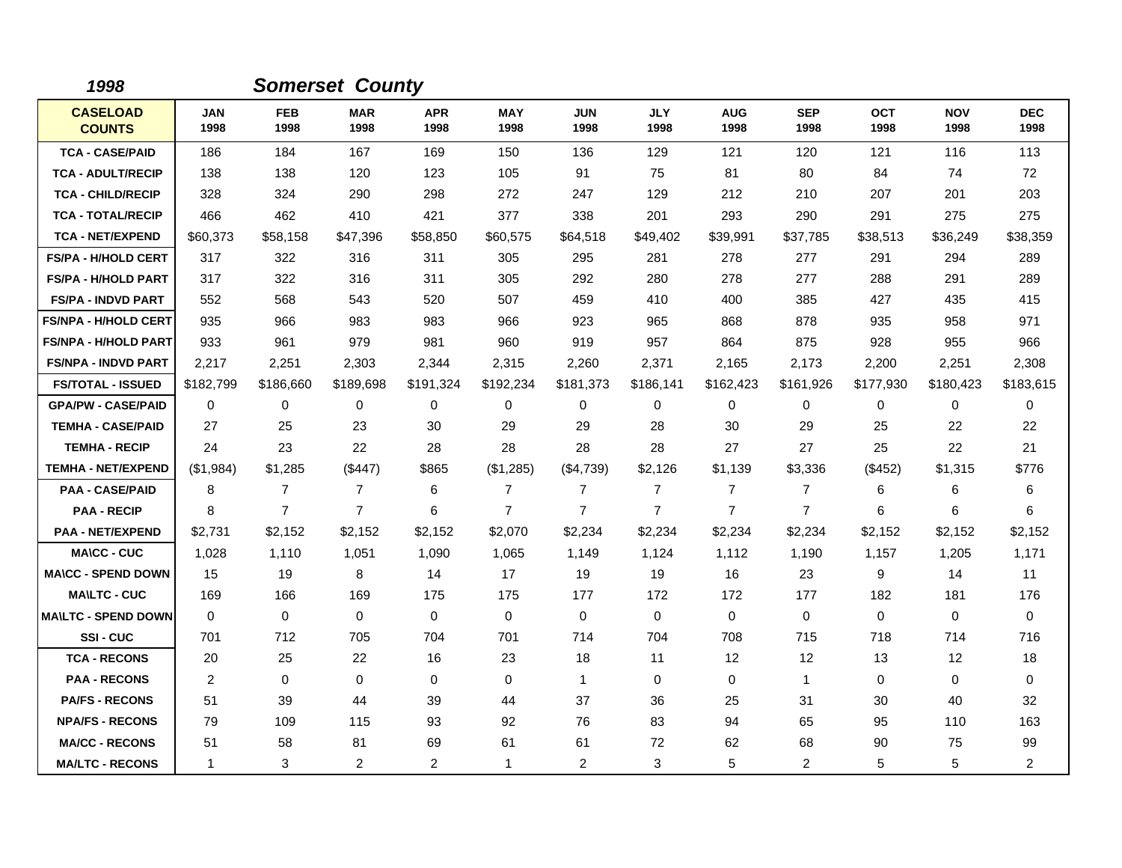| 1998                             |                    |                    | <b>Somerset County</b> |                    |                    |                    |                    |                    |                    |                    |                    |                    |
|----------------------------------|--------------------|--------------------|------------------------|--------------------|--------------------|--------------------|--------------------|--------------------|--------------------|--------------------|--------------------|--------------------|
| <b>CASELOAD</b><br><b>COUNTS</b> | <b>JAN</b><br>1998 | <b>FEB</b><br>1998 | <b>MAR</b><br>1998     | <b>APR</b><br>1998 | <b>MAY</b><br>1998 | <b>JUN</b><br>1998 | <b>JLY</b><br>1998 | <b>AUG</b><br>1998 | <b>SEP</b><br>1998 | <b>OCT</b><br>1998 | <b>NOV</b><br>1998 | <b>DEC</b><br>1998 |
| <b>TCA - CASE/PAID</b>           | 186                | 184                | 167                    | 169                | 150                | 136                | 129                | 121                | 120                | 121                | 116                | 113                |
| <b>TCA - ADULT/RECIP</b>         | 138                | 138                | 120                    | 123                | 105                | 91                 | 75                 | 81                 | 80                 | 84                 | 74                 | 72                 |
| <b>TCA - CHILD/RECIP</b>         | 328                | 324                | 290                    | 298                | 272                | 247                | 129                | 212                | 210                | 207                | 201                | 203                |
| <b>TCA - TOTAL/RECIP</b>         | 466                | 462                | 410                    | 421                | 377                | 338                | 201                | 293                | 290                | 291                | 275                | 275                |
| <b>TCA - NET/EXPEND</b>          | \$60,373           | \$58,158           | \$47,396               | \$58,850           | \$60,575           | \$64,518           | \$49,402           | \$39,991           | \$37,785           | \$38,513           | \$36,249           | \$38,359           |
| <b>FS/PA - H/HOLD CERT</b>       | 317                | 322                | 316                    | 311                | 305                | 295                | 281                | 278                | 277                | 291                | 294                | 289                |
| <b>FS/PA - H/HOLD PART</b>       | 317                | 322                | 316                    | 311                | 305                | 292                | 280                | 278                | 277                | 288                | 291                | 289                |
| <b>FS/PA - INDVD PART</b>        | 552                | 568                | 543                    | 520                | 507                | 459                | 410                | 400                | 385                | 427                | 435                | 415                |
| <b>FS/NPA - H/HOLD CERT</b>      | 935                | 966                | 983                    | 983                | 966                | 923                | 965                | 868                | 878                | 935                | 958                | 971                |
| <b>FS/NPA - H/HOLD PART</b>      | 933                | 961                | 979                    | 981                | 960                | 919                | 957                | 864                | 875                | 928                | 955                | 966                |
| <b>FS/NPA - INDVD PART</b>       | 2,217              | 2,251              | 2,303                  | 2,344              | 2,315              | 2,260              | 2,371              | 2,165              | 2,173              | 2,200              | 2,251              | 2,308              |
| <b>FS/TOTAL - ISSUED</b>         | \$182,799          | \$186,660          | \$189,698              | \$191,324          | \$192,234          | \$181,373          | \$186,141          | \$162,423          | \$161,926          | \$177,930          | \$180,423          | \$183,615          |
| <b>GPA/PW - CASE/PAID</b>        | $\mathbf 0$        | 0                  | 0                      | 0                  | 0                  | 0                  | 0                  | 0                  | 0                  | 0                  | $\mathbf 0$        | 0                  |
| <b>TEMHA - CASE/PAID</b>         | 27                 | 25                 | 23                     | 30                 | 29                 | 29                 | 28                 | 30                 | 29                 | 25                 | 22                 | 22                 |
| <b>TEMHA - RECIP</b>             | 24                 | 23                 | 22                     | 28                 | 28                 | 28                 | 28                 | 27                 | 27                 | 25                 | 22                 | 21                 |
| <b>TEMHA - NET/EXPEND</b>        | (\$1,984)          | \$1,285            | (\$447)                | \$865              | (\$1,285)          | (\$4,739)          | \$2,126            | \$1,139            | \$3,336            | (\$452)            | \$1,315            | \$776              |
| <b>PAA - CASE/PAID</b>           | 8                  | 7                  | 7                      | 6                  | 7                  | 7                  | $\overline{7}$     | 7                  | 7                  | 6                  | 6                  | 6                  |
| <b>PAA - RECIP</b>               | 8                  | $\overline{7}$     | $\overline{7}$         | 6                  | $\overline{7}$     | $\overline{7}$     | $\overline{7}$     | $\overline{7}$     | $\overline{7}$     | 6                  | 6                  | 6                  |
| <b>PAA - NET/EXPEND</b>          | \$2,731            | \$2,152            | \$2,152                | \$2,152            | \$2,070            | \$2,234            | \$2,234            | \$2,234            | \$2,234            | \$2,152            | \$2,152            | \$2,152            |
| <b>MA\CC - CUC</b>               | 1,028              | 1,110              | 1,051                  | 1,090              | 1,065              | 1,149              | 1,124              | 1,112              | 1,190              | 1,157              | 1,205              | 1,171              |
| <b>MA\CC - SPEND DOWN</b>        | 15                 | 19                 | 8                      | 14                 | 17                 | 19                 | 19                 | 16                 | 23                 | 9                  | 14                 | 11                 |
| <b>MAILTC - CUC</b>              | 169                | 166                | 169                    | 175                | 175                | 177                | 172                | 172                | 177                | 182                | 181                | 176                |
| <b>MA\LTC - SPEND DOWN</b>       | $\mathbf 0$        | $\mathbf 0$        | $\mathbf 0$            | 0                  | 0                  | 0                  | 0                  | 0                  | $\mathbf 0$        | 0                  | 0                  | 0                  |
| <b>SSI-CUC</b>                   | 701                | 712                | 705                    | 704                | 701                | 714                | 704                | 708                | 715                | 718                | 714                | 716                |
| <b>TCA - RECONS</b>              | 20                 | 25                 | 22                     | 16                 | 23                 | 18                 | 11                 | 12                 | 12                 | 13                 | 12                 | 18                 |
| <b>PAA - RECONS</b>              | 2                  | 0                  | $\mathbf 0$            | 0                  | 0                  | $\mathbf{1}$       | 0                  | 0                  | $\mathbf{1}$       | 0                  | 0                  | 0                  |
| <b>PA/FS - RECONS</b>            | 51                 | 39                 | 44                     | 39                 | 44                 | 37                 | 36                 | 25                 | 31                 | 30                 | 40                 | 32                 |
| <b>NPA/FS - RECONS</b>           | 79                 | 109                | 115                    | 93                 | 92                 | 76                 | 83                 | 94                 | 65                 | 95                 | 110                | 163                |
| <b>MA/CC - RECONS</b>            | 51                 | 58                 | 81                     | 69                 | 61                 | 61                 | 72                 | 62                 | 68                 | 90                 | 75                 | 99                 |
| <b>MA/LTC - RECONS</b>           | $\mathbf 1$        | 3                  | 2                      | $\overline{2}$     | $\overline{1}$     | 2                  | 3                  | 5                  | 2                  | 5                  | 5                  | $\overline{a}$     |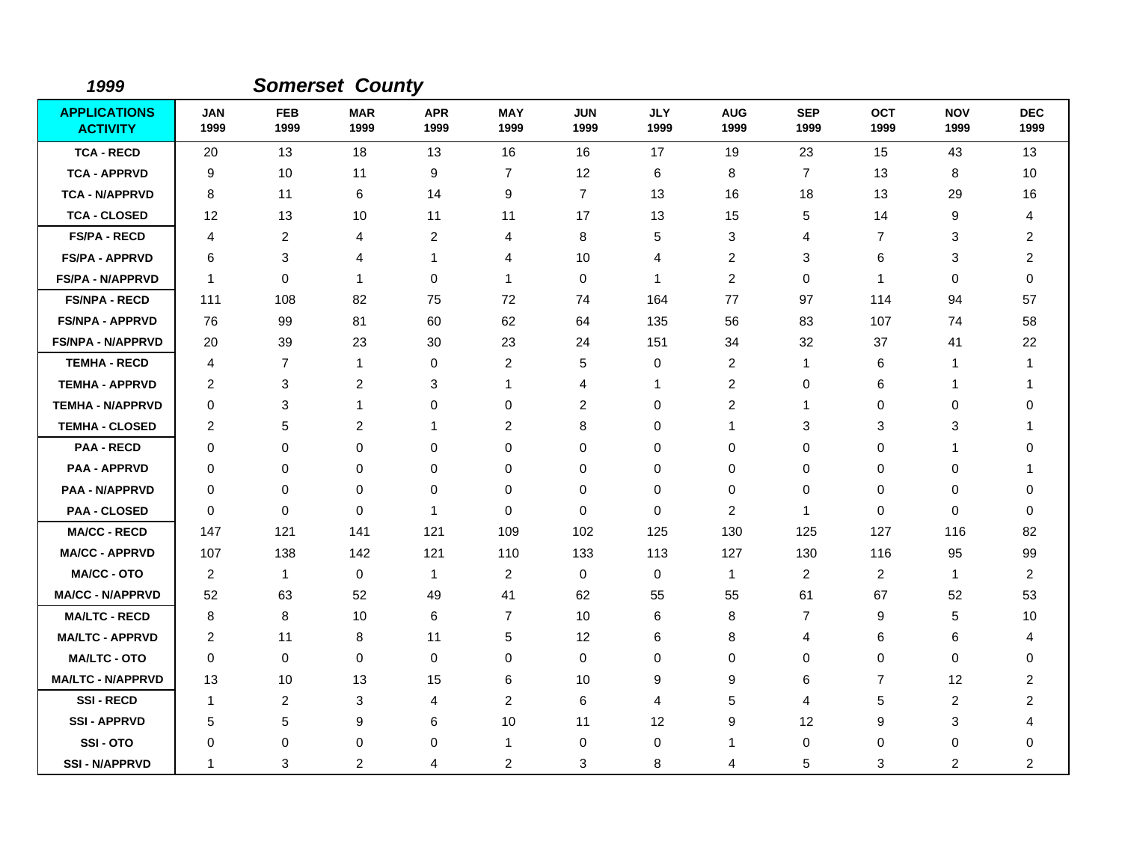| 1999                                   |                    |                    | <b>Somerset County</b> |                    |                    |                    |                    |                    |                    |                    |                    |                    |
|----------------------------------------|--------------------|--------------------|------------------------|--------------------|--------------------|--------------------|--------------------|--------------------|--------------------|--------------------|--------------------|--------------------|
| <b>APPLICATIONS</b><br><b>ACTIVITY</b> | <b>JAN</b><br>1999 | <b>FEB</b><br>1999 | <b>MAR</b><br>1999     | <b>APR</b><br>1999 | <b>MAY</b><br>1999 | <b>JUN</b><br>1999 | <b>JLY</b><br>1999 | <b>AUG</b><br>1999 | <b>SEP</b><br>1999 | <b>OCT</b><br>1999 | <b>NOV</b><br>1999 | <b>DEC</b><br>1999 |
| <b>TCA - RECD</b>                      | 20                 | 13                 | 18                     | 13                 | 16                 | 16                 | 17                 | 19                 | 23                 | 15                 | 43                 | 13                 |
| <b>TCA - APPRVD</b>                    | 9                  | 10                 | 11                     | 9                  | $\overline{7}$     | 12                 | 6                  | 8                  | $\overline{7}$     | 13                 | 8                  | 10                 |
| <b>TCA - N/APPRVD</b>                  | 8                  | 11                 | 6                      | 14                 | 9                  | $\overline{7}$     | 13                 | 16                 | 18                 | 13                 | 29                 | 16                 |
| <b>TCA - CLOSED</b>                    | 12                 | 13                 | 10                     | 11                 | 11                 | 17                 | 13                 | 15                 | 5                  | 14                 | 9                  | 4                  |
| <b>FS/PA - RECD</b>                    | 4                  | $\overline{c}$     | 4                      | 2                  | 4                  | 8                  | 5                  | 3                  | $\overline{4}$     | $\overline{7}$     | 3                  | 2                  |
| <b>FS/PA - APPRVD</b>                  | 6                  | 3                  | 4                      | -1                 | 4                  | 10                 | 4                  | 2                  | 3                  | 6                  | 3                  | 2                  |
| <b>FS/PA - N/APPRVD</b>                | $\mathbf{1}$       | $\mathbf 0$        | $\mathbf 1$            | $\Omega$           | $\overline{1}$     | $\Omega$           | $\mathbf{1}$       | 2                  | 0                  | $\mathbf 1$        | $\Omega$           | $\Omega$           |
| <b>FS/NPA - RECD</b>                   | 111                | 108                | 82                     | 75                 | 72                 | 74                 | 164                | 77                 | 97                 | 114                | 94                 | 57                 |
| <b>FS/NPA - APPRVD</b>                 | 76                 | 99                 | 81                     | 60                 | 62                 | 64                 | 135                | 56                 | 83                 | 107                | 74                 | 58                 |
| <b>FS/NPA - N/APPRVD</b>               | 20                 | 39                 | 23                     | 30                 | 23                 | 24                 | 151                | 34                 | 32                 | 37                 | 41                 | 22                 |
| <b>TEMHA - RECD</b>                    | 4                  | $\overline{7}$     | $\mathbf{1}$           | 0                  | $\overline{2}$     | 5                  | 0                  | 2                  | $\mathbf 1$        | 6                  | $\mathbf{1}$       | 1                  |
| <b>TEMHA - APPRVD</b>                  | 2                  | 3                  | $\overline{c}$         | 3                  | $\mathbf 1$        | 4                  | 1                  | 2                  | 0                  | 6                  | $\mathbf{1}$       | 1                  |
| <b>TEMHA - N/APPRVD</b>                | $\Omega$           | 3                  | $\mathbf 1$            | 0                  | 0                  | $\overline{c}$     | $\mathbf 0$        | $\overline{c}$     | -1                 | 0                  | 0                  | $\Omega$           |
| <b>TEMHA - CLOSED</b>                  | 2                  | 5                  | 2                      | -1                 | $\overline{2}$     | 8                  | 0                  | 1                  | 3                  | 3                  | 3                  | $\mathbf 1$        |
| <b>PAA - RECD</b>                      | $\Omega$           | 0                  | $\Omega$               | $\Omega$           | 0                  | $\Omega$           | 0                  | 0                  | 0                  | 0                  | -1                 | 0                  |
| <b>PAA - APPRVD</b>                    | 0                  | 0                  | 0                      | 0                  | 0                  | $\mathbf 0$        | 0                  | 0                  | $\mathbf 0$        | 0                  | 0                  | 1                  |
| <b>PAA - N/APPRVD</b>                  | 0                  | 0                  | 0                      | 0                  | 0                  | 0                  | 0                  | 0                  | 0                  | 0                  | 0                  | 0                  |
| <b>PAA - CLOSED</b>                    | $\Omega$           | $\Omega$           | $\mathbf{0}$           | -1                 | 0                  | $\Omega$           | $\mathbf 0$        | 2                  | $\mathbf 1$        | 0                  | $\Omega$           | $\Omega$           |
| <b>MA/CC - RECD</b>                    | 147                | 121                | 141                    | 121                | 109                | 102                | 125                | 130                | 125                | 127                | 116                | 82                 |
| <b>MA/CC - APPRVD</b>                  | 107                | 138                | 142                    | 121                | 110                | 133                | 113                | 127                | 130                | 116                | 95                 | 99                 |
| <b>MA/CC - OTO</b>                     | 2                  | $\mathbf{1}$       | $\mathbf 0$            | 1                  | $\overline{2}$     | 0                  | $\mathbf 0$        | 1                  | 2                  | $\overline{2}$     | $\mathbf{1}$       | 2                  |
| <b>MA/CC - N/APPRVD</b>                | 52                 | 63                 | 52                     | 49                 | 41                 | 62                 | 55                 | 55                 | 61                 | 67                 | 52                 | 53                 |
| <b>MA/LTC - RECD</b>                   | 8                  | 8                  | 10                     | 6                  | $\overline{7}$     | 10                 | 6                  | 8                  | $\overline{7}$     | 9                  | 5                  | 10                 |
| <b>MA/LTC - APPRVD</b>                 | 2                  | 11                 | 8                      | 11                 | 5                  | 12                 | 6                  | 8                  | $\overline{4}$     | 6                  | 6                  | 4                  |
| <b>MA/LTC - OTO</b>                    | 0                  | 0                  | 0                      | 0                  | 0                  | 0                  | 0                  | 0                  | 0                  | 0                  | 0                  | 0                  |
| <b>MA/LTC - N/APPRVD</b>               | 13                 | 10                 | 13                     | 15                 | 6                  | 10                 | 9                  | 9                  | 6                  | $\overline{7}$     | 12                 | 2                  |
| <b>SSI-RECD</b>                        | $\mathbf{1}$       | $\overline{2}$     | 3                      | 4                  | $\overline{2}$     | 6                  | 4                  | 5                  | $\overline{4}$     | 5                  | $\overline{2}$     | $\overline{2}$     |
| <b>SSI-APPRVD</b>                      | 5                  | 5                  | 9                      | 6                  | 10                 | 11                 | 12                 | 9                  | 12                 | 9                  | 3                  | 4                  |
| SSI-OTO                                | 0                  | 0                  | 0                      | 0                  | -1                 | 0                  | 0                  | 1                  | 0                  | 0                  | 0                  | 0                  |
| <b>SSI - N/APPRVD</b>                  | 1                  | 3                  | 2                      | 4                  | $\overline{c}$     | 3                  | 8                  | 4                  | 5                  | 3                  | $\overline{c}$     | 2                  |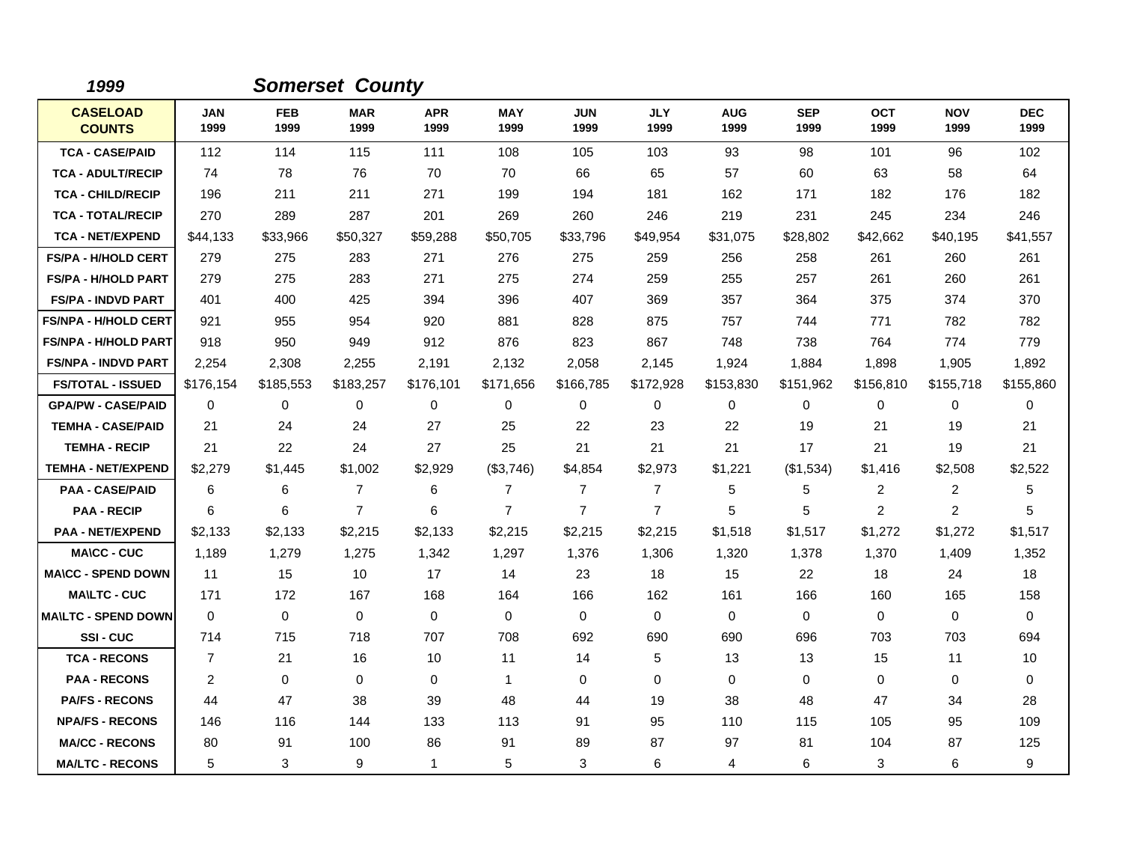| 1999                             |                    |                    | <b>Somerset County</b> |                    |                    |                    |                    |                    |                    |                    |                    |                    |
|----------------------------------|--------------------|--------------------|------------------------|--------------------|--------------------|--------------------|--------------------|--------------------|--------------------|--------------------|--------------------|--------------------|
| <b>CASELOAD</b><br><b>COUNTS</b> | <b>JAN</b><br>1999 | <b>FEB</b><br>1999 | <b>MAR</b><br>1999     | <b>APR</b><br>1999 | <b>MAY</b><br>1999 | <b>JUN</b><br>1999 | <b>JLY</b><br>1999 | <b>AUG</b><br>1999 | <b>SEP</b><br>1999 | <b>OCT</b><br>1999 | <b>NOV</b><br>1999 | <b>DEC</b><br>1999 |
| <b>TCA - CASE/PAID</b>           | 112                | 114                | 115                    | 111                | 108                | 105                | 103                | 93                 | 98                 | 101                | 96                 | 102                |
| <b>TCA - ADULT/RECIP</b>         | 74                 | 78                 | 76                     | 70                 | 70                 | 66                 | 65                 | 57                 | 60                 | 63                 | 58                 | 64                 |
| <b>TCA - CHILD/RECIP</b>         | 196                | 211                | 211                    | 271                | 199                | 194                | 181                | 162                | 171                | 182                | 176                | 182                |
| <b>TCA - TOTAL/RECIP</b>         | 270                | 289                | 287                    | 201                | 269                | 260                | 246                | 219                | 231                | 245                | 234                | 246                |
| <b>TCA - NET/EXPEND</b>          | \$44,133           | \$33,966           | \$50,327               | \$59,288           | \$50,705           | \$33,796           | \$49,954           | \$31,075           | \$28,802           | \$42,662           | \$40,195           | \$41,557           |
| <b>FS/PA - H/HOLD CERT</b>       | 279                | 275                | 283                    | 271                | 276                | 275                | 259                | 256                | 258                | 261                | 260                | 261                |
| <b>FS/PA - H/HOLD PART</b>       | 279                | 275                | 283                    | 271                | 275                | 274                | 259                | 255                | 257                | 261                | 260                | 261                |
| <b>FS/PA - INDVD PART</b>        | 401                | 400                | 425                    | 394                | 396                | 407                | 369                | 357                | 364                | 375                | 374                | 370                |
| <b>FS/NPA - H/HOLD CERT</b>      | 921                | 955                | 954                    | 920                | 881                | 828                | 875                | 757                | 744                | 771                | 782                | 782                |
| <b>FS/NPA - H/HOLD PART</b>      | 918                | 950                | 949                    | 912                | 876                | 823                | 867                | 748                | 738                | 764                | 774                | 779                |
| <b>FS/NPA - INDVD PART</b>       | 2,254              | 2,308              | 2,255                  | 2,191              | 2,132              | 2,058              | 2,145              | 1,924              | 1,884              | 1,898              | 1,905              | 1,892              |
| <b>FS/TOTAL - ISSUED</b>         | \$176,154          | \$185,553          | \$183,257              | \$176,101          | \$171,656          | \$166,785          | \$172,928          | \$153,830          | \$151,962          | \$156,810          | \$155,718          | \$155,860          |
| <b>GPA/PW - CASE/PAID</b>        | $\mathbf 0$        | 0                  | 0                      | 0                  | 0                  | 0                  | 0                  | 0                  | 0                  | 0                  | $\mathbf 0$        | 0                  |
| <b>TEMHA - CASE/PAID</b>         | 21                 | 24                 | 24                     | 27                 | 25                 | 22                 | 23                 | 22                 | 19                 | 21                 | 19                 | 21                 |
| <b>TEMHA - RECIP</b>             | 21                 | 22                 | 24                     | 27                 | 25                 | 21                 | 21                 | 21                 | 17                 | 21                 | 19                 | 21                 |
| <b>TEMHA - NET/EXPEND</b>        | \$2,279            | \$1,445            | \$1,002                | \$2,929            | (\$3,746)          | \$4,854            | \$2,973            | \$1,221            | (\$1,534)          | \$1,416            | \$2,508            | \$2,522            |
| <b>PAA - CASE/PAID</b>           | 6                  | 6                  | 7                      | 6                  | 7                  | 7                  | $\overline{7}$     | 5                  | 5                  | 2                  | 2                  | 5                  |
| <b>PAA - RECIP</b>               | 6                  | 6                  | $\overline{7}$         | 6                  | $\overline{7}$     | $\overline{7}$     | $\overline{7}$     | 5                  | 5                  | $\overline{2}$     | $\overline{2}$     | 5                  |
| <b>PAA - NET/EXPEND</b>          | \$2,133            | \$2,133            | \$2,215                | \$2,133            | \$2,215            | \$2,215            | \$2,215            | \$1,518            | \$1,517            | \$1,272            | \$1,272            | \$1,517            |
| <b>MA\CC - CUC</b>               | 1,189              | 1,279              | 1,275                  | 1,342              | 1,297              | 1,376              | 1,306              | 1,320              | 1,378              | 1,370              | 1,409              | 1,352              |
| <b>MA\CC - SPEND DOWN</b>        | 11                 | 15                 | 10                     | 17                 | 14                 | 23                 | 18                 | 15                 | 22                 | 18                 | 24                 | 18                 |
| <b>MAILTC - CUC</b>              | 171                | 172                | 167                    | 168                | 164                | 166                | 162                | 161                | 166                | 160                | 165                | 158                |
| <b>MA\LTC - SPEND DOWN</b>       | $\mathbf 0$        | $\mathbf 0$        | $\mathbf 0$            | 0                  | 0                  | 0                  | 0                  | 0                  | $\mathbf 0$        | 0                  | 0                  | 0                  |
| <b>SSI-CUC</b>                   | 714                | 715                | 718                    | 707                | 708                | 692                | 690                | 690                | 696                | 703                | 703                | 694                |
| <b>TCA - RECONS</b>              | $\overline{7}$     | 21                 | 16                     | 10                 | 11                 | 14                 | 5                  | 13                 | 13                 | 15                 | 11                 | 10                 |
| <b>PAA - RECONS</b>              | 2                  | $\mathbf 0$        | $\mathbf 0$            | 0                  | $\overline{1}$     | 0                  | 0                  | 0                  | $\mathbf 0$        | 0                  | 0                  | 0                  |
| <b>PA/FS - RECONS</b>            | 44                 | 47                 | 38                     | 39                 | 48                 | 44                 | 19                 | 38                 | 48                 | 47                 | 34                 | 28                 |
| <b>NPA/FS - RECONS</b>           | 146                | 116                | 144                    | 133                | 113                | 91                 | 95                 | 110                | 115                | 105                | 95                 | 109                |
| <b>MA/CC - RECONS</b>            | 80                 | 91                 | 100                    | 86                 | 91                 | 89                 | 87                 | 97                 | 81                 | 104                | 87                 | 125                |
| <b>MA/LTC - RECONS</b>           | 5                  | 3                  | 9                      | 1                  | 5                  | 3                  | 6                  | 4                  | 6                  | 3                  | 6                  | 9                  |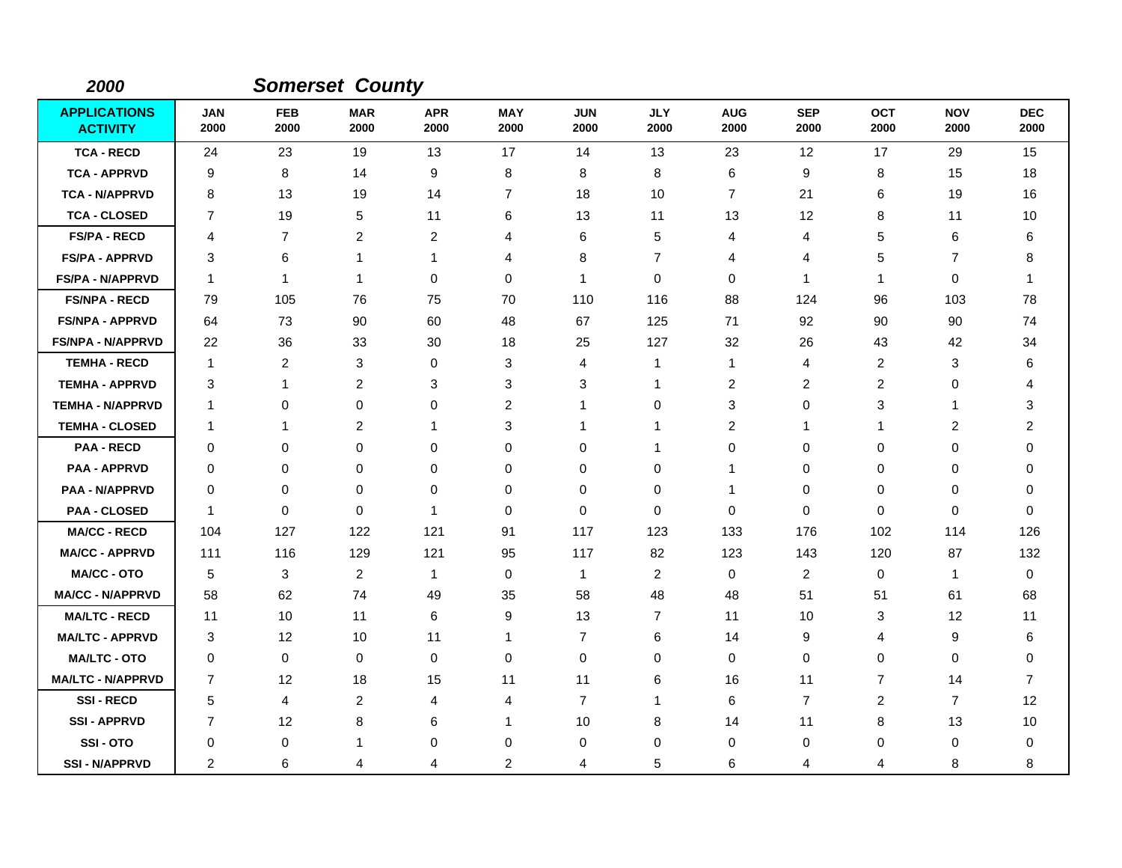| 2000                                   |                    |                         | <b>Somerset County</b> |                    |                    |                    |                    |                         |                    |                    |                    |                    |
|----------------------------------------|--------------------|-------------------------|------------------------|--------------------|--------------------|--------------------|--------------------|-------------------------|--------------------|--------------------|--------------------|--------------------|
| <b>APPLICATIONS</b><br><b>ACTIVITY</b> | <b>JAN</b><br>2000 | <b>FEB</b><br>2000      | <b>MAR</b><br>2000     | <b>APR</b><br>2000 | <b>MAY</b><br>2000 | <b>JUN</b><br>2000 | <b>JLY</b><br>2000 | <b>AUG</b><br>2000      | <b>SEP</b><br>2000 | <b>OCT</b><br>2000 | <b>NOV</b><br>2000 | <b>DEC</b><br>2000 |
| <b>TCA - RECD</b>                      | 24                 | 23                      | 19                     | 13                 | 17                 | 14                 | 13                 | 23                      | 12                 | 17                 | 29                 | 15                 |
| <b>TCA - APPRVD</b>                    | 9                  | 8                       | 14                     | 9                  | 8                  | 8                  | 8                  | 6                       | 9                  | 8                  | 15                 | 18                 |
| <b>TCA - N/APPRVD</b>                  | 8                  | 13                      | 19                     | 14                 | $\overline{7}$     | 18                 | 10                 | 7                       | 21                 | 6                  | 19                 | 16                 |
| <b>TCA - CLOSED</b>                    | 7                  | 19                      | 5                      | 11                 | 6                  | 13                 | 11                 | 13                      | 12                 | 8                  | 11                 | 10                 |
| <b>FS/PA - RECD</b>                    | 4                  | $\overline{7}$          | $\overline{c}$         | $\overline{c}$     | 4                  | 6                  | 5                  | 4                       | 4                  | 5                  | 6                  | 6                  |
| <b>FS/PA - APPRVD</b>                  | 3                  | 6                       | 1                      | 1                  | 4                  | 8                  | $\overline{7}$     | 4                       | 4                  | 5                  | $\overline{7}$     | 8                  |
| <b>FS/PA - N/APPRVD</b>                | $\mathbf{1}$       | $\mathbf{1}$            | $\mathbf 1$            | 0                  | $\mathbf 0$        | 1                  | $\mathbf 0$        | 0                       | $\mathbf 1$        | $\mathbf 1$        | $\mathbf 0$        | -1                 |
| <b>FS/NPA - RECD</b>                   | 79                 | 105                     | 76                     | 75                 | 70                 | 110                | 116                | 88                      | 124                | 96                 | 103                | 78                 |
| <b>FS/NPA - APPRVD</b>                 | 64                 | 73                      | 90                     | 60                 | 48                 | 67                 | 125                | 71                      | 92                 | 90                 | 90                 | 74                 |
| <b>FS/NPA - N/APPRVD</b>               | 22                 | 36                      | 33                     | 30                 | 18                 | 25                 | 127                | 32                      | 26                 | 43                 | 42                 | 34                 |
| <b>TEMHA - RECD</b>                    | $\mathbf{1}$       | $\overline{\mathbf{c}}$ | 3                      | 0                  | 3                  | 4                  | 1                  | $\mathbf{1}$            | 4                  | 2                  | 3                  | 6                  |
| <b>TEMHA - APPRVD</b>                  | 3                  | 1                       | $\overline{c}$         | 3                  | 3                  | 3                  | 1                  | $\overline{\mathbf{c}}$ | $\overline{c}$     | 2                  | 0                  | 4                  |
| <b>TEMHA - N/APPRVD</b>                | $\mathbf 1$        | 0                       | $\mathbf 0$            | $\mathbf 0$        | $\overline{c}$     | 1                  | 0                  | 3                       | $\mathbf 0$        | 3                  | -1                 | 3                  |
| <b>TEMHA - CLOSED</b>                  | $\mathbf 1$        | 1                       | $\overline{c}$         | 1                  | 3                  | 1                  | 1                  | 2                       | $\mathbf 1$        | $\mathbf{1}$       | 2                  | $\overline{c}$     |
| <b>PAA - RECD</b>                      | 0                  | 0                       | 0                      | $\Omega$           | 0                  | 0                  | 1                  | 0                       | 0                  | 0                  | 0                  | $\Omega$           |
| <b>PAA - APPRVD</b>                    | 0                  | $\mathbf 0$             | 0                      | 0                  | $\mathbf 0$        | $\mathbf 0$        | 0                  | 1                       | $\mathbf 0$        | 0                  | 0                  | 0                  |
| <b>PAA - N/APPRVD</b>                  | 0                  | 0                       | 0                      | 0                  | 0                  | 0                  | $\pmb{0}$          | 1                       | 0                  | 0                  | $\mathbf 0$        | 0                  |
| <b>PAA - CLOSED</b>                    | -1                 | $\mathbf 0$             | $\Omega$               | 1                  | $\mathbf 0$        | $\Omega$           | $\mathbf 0$        | 0                       | $\mathbf 0$        | 0                  | $\Omega$           | $\Omega$           |
| <b>MA/CC - RECD</b>                    | 104                | 127                     | 122                    | 121                | 91                 | 117                | 123                | 133                     | 176                | 102                | 114                | 126                |
| <b>MA/CC - APPRVD</b>                  | 111                | 116                     | 129                    | 121                | 95                 | 117                | 82                 | 123                     | 143                | 120                | 87                 | 132                |
| <b>MA/CC - OTO</b>                     | 5                  | 3                       | 2                      | $\mathbf{1}$       | 0                  | $\mathbf{1}$       | $\overline{2}$     | 0                       | 2                  | 0                  | $\mathbf{1}$       | 0                  |
| <b>MA/CC - N/APPRVD</b>                | 58                 | 62                      | 74                     | 49                 | 35                 | 58                 | 48                 | 48                      | 51                 | 51                 | 61                 | 68                 |
| <b>MA/LTC - RECD</b>                   | 11                 | 10                      | 11                     | 6                  | 9                  | 13                 | $\overline{7}$     | 11                      | 10                 | 3                  | 12                 | 11                 |
| <b>MA/LTC - APPRVD</b>                 | 3                  | 12                      | 10                     | 11                 | $\mathbf 1$        | $\overline{7}$     | 6                  | 14                      | 9                  | 4                  | 9                  | 6                  |
| <b>MA/LTC - OTO</b>                    | 0                  | 0                       | 0                      | 0                  | 0                  | 0                  | 0                  | 0                       | $\mathbf 0$        | 0                  | $\mathbf 0$        | 0                  |
| <b>MA/LTC - N/APPRVD</b>               | $\overline{7}$     | 12                      | 18                     | 15                 | 11                 | 11                 | 6                  | 16                      | 11                 | $\overline{7}$     | 14                 | $\overline{7}$     |
| <b>SSI-RECD</b>                        | 5                  | 4                       | $\overline{c}$         | 4                  | 4                  | $\overline{7}$     | 1                  | 6                       | $\overline{7}$     | $\overline{c}$     | $\overline{7}$     | 12                 |
| <b>SSI-APPRVD</b>                      | 7                  | 12                      | 8                      | 6                  | $\mathbf 1$        | 10                 | 8                  | 14                      | 11                 | 8                  | 13                 | 10                 |
| SSI-OTO                                | 0                  | 0                       | 1                      | 0                  | 0                  | 0                  | 0                  | 0                       | 0                  | 0                  | 0                  | 0                  |
| <b>SSI - N/APPRVD</b>                  | $\overline{c}$     | 6                       | 4                      | 4                  | 2                  | 4                  | 5                  | 6                       | 4                  | 4                  | 8                  | 8                  |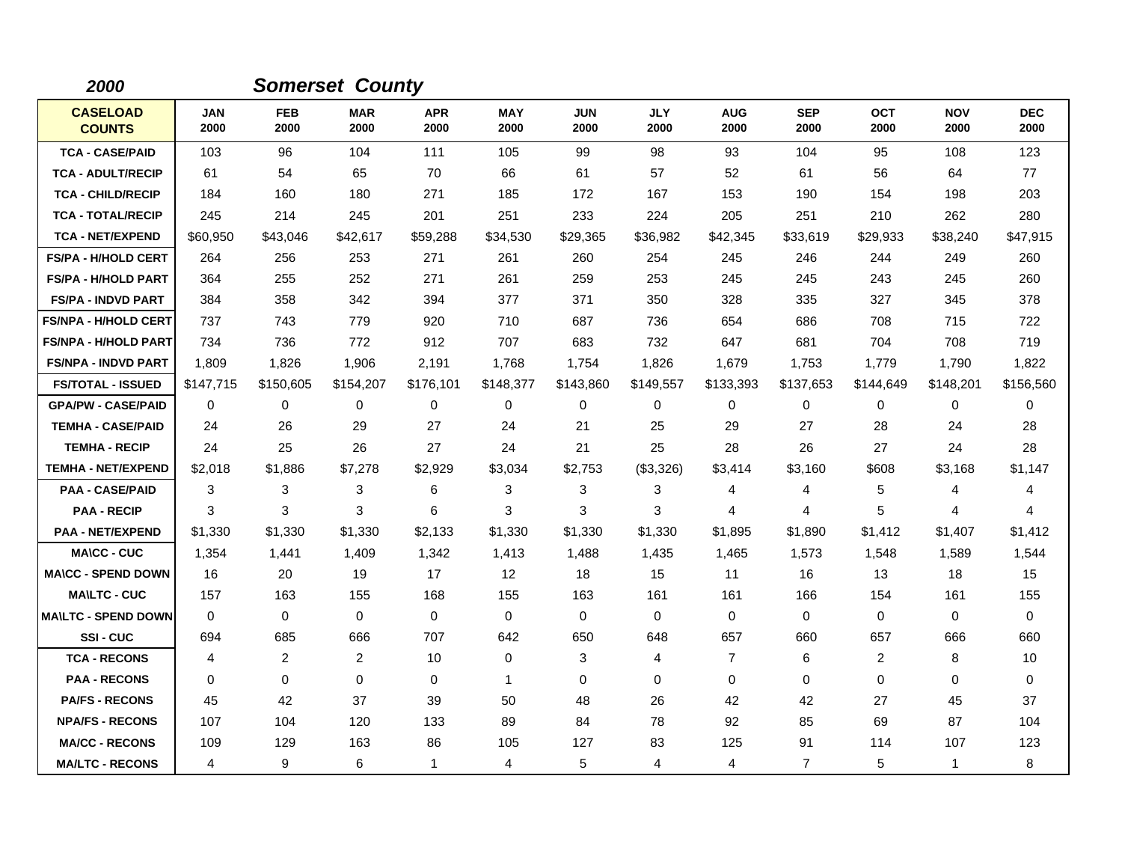| 2000                             |                    |                    | <b>Somerset County</b> |                    |                    |                    |                    |                    |                    |                    |                    |                    |
|----------------------------------|--------------------|--------------------|------------------------|--------------------|--------------------|--------------------|--------------------|--------------------|--------------------|--------------------|--------------------|--------------------|
| <b>CASELOAD</b><br><b>COUNTS</b> | <b>JAN</b><br>2000 | <b>FEB</b><br>2000 | <b>MAR</b><br>2000     | <b>APR</b><br>2000 | <b>MAY</b><br>2000 | <b>JUN</b><br>2000 | <b>JLY</b><br>2000 | <b>AUG</b><br>2000 | <b>SEP</b><br>2000 | <b>OCT</b><br>2000 | <b>NOV</b><br>2000 | <b>DEC</b><br>2000 |
| <b>TCA - CASE/PAID</b>           | 103                | 96                 | 104                    | 111                | 105                | 99                 | 98                 | 93                 | 104                | 95                 | 108                | 123                |
| <b>TCA - ADULT/RECIP</b>         | 61                 | 54                 | 65                     | 70                 | 66                 | 61                 | 57                 | 52                 | 61                 | 56                 | 64                 | 77                 |
| <b>TCA - CHILD/RECIP</b>         | 184                | 160                | 180                    | 271                | 185                | 172                | 167                | 153                | 190                | 154                | 198                | 203                |
| <b>TCA - TOTAL/RECIP</b>         | 245                | 214                | 245                    | 201                | 251                | 233                | 224                | 205                | 251                | 210                | 262                | 280                |
| <b>TCA - NET/EXPEND</b>          | \$60,950           | \$43,046           | \$42,617               | \$59,288           | \$34,530           | \$29,365           | \$36,982           | \$42,345           | \$33,619           | \$29,933           | \$38,240           | \$47,915           |
| <b>FS/PA - H/HOLD CERT</b>       | 264                | 256                | 253                    | 271                | 261                | 260                | 254                | 245                | 246                | 244                | 249                | 260                |
| <b>FS/PA - H/HOLD PART</b>       | 364                | 255                | 252                    | 271                | 261                | 259                | 253                | 245                | 245                | 243                | 245                | 260                |
| <b>FS/PA - INDVD PART</b>        | 384                | 358                | 342                    | 394                | 377                | 371                | 350                | 328                | 335                | 327                | 345                | 378                |
| <b>FS/NPA - H/HOLD CERT</b>      | 737                | 743                | 779                    | 920                | 710                | 687                | 736                | 654                | 686                | 708                | 715                | 722                |
| <b>FS/NPA - H/HOLD PART</b>      | 734                | 736                | 772                    | 912                | 707                | 683                | 732                | 647                | 681                | 704                | 708                | 719                |
| <b>FS/NPA - INDVD PART</b>       | 1,809              | 1,826              | 1,906                  | 2,191              | 1,768              | 1,754              | 1,826              | 1,679              | 1,753              | 1.779              | 1,790              | 1,822              |
| <b>FS/TOTAL - ISSUED</b>         | \$147,715          | \$150,605          | \$154,207              | \$176,101          | \$148,377          | \$143,860          | \$149,557          | \$133,393          | \$137,653          | \$144,649          | \$148,201          | \$156,560          |
| <b>GPA/PW - CASE/PAID</b>        | $\Omega$           | $\Omega$           | $\Omega$               | 0                  | 0                  | $\Omega$           | 0                  | 0                  | $\Omega$           | 0                  | 0                  | 0                  |
| <b>TEMHA - CASE/PAID</b>         | 24                 | 26                 | 29                     | 27                 | 24                 | 21                 | 25                 | 29                 | 27                 | 28                 | 24                 | 28                 |
| <b>TEMHA - RECIP</b>             | 24                 | 25                 | 26                     | 27                 | 24                 | 21                 | 25                 | 28                 | 26                 | 27                 | 24                 | 28                 |
| <b>TEMHA - NET/EXPEND</b>        | \$2,018            | \$1,886            | \$7,278                | \$2,929            | \$3,034            | \$2,753            | (\$3,326)          | \$3,414            | \$3,160            | \$608              | \$3,168            | \$1,147            |
| <b>PAA - CASE/PAID</b>           | 3                  | 3                  | 3                      | 6                  | 3                  | 3                  | 3                  | 4                  | 4                  | 5                  | 4                  | 4                  |
| <b>PAA - RECIP</b>               | 3                  | 3                  | 3                      | 6                  | 3                  | 3                  | 3                  | 4                  | $\overline{4}$     | 5                  | 4                  | 4                  |
| <b>PAA - NET/EXPEND</b>          | \$1,330            | \$1,330            | \$1,330                | \$2,133            | \$1,330            | \$1,330            | \$1,330            | \$1,895            | \$1,890            | \$1,412            | \$1,407            | \$1,412            |
| <b>MA\CC - CUC</b>               | 1,354              | 1,441              | 1,409                  | 1,342              | 1,413              | 1,488              | 1,435              | 1,465              | 1,573              | 1,548              | 1,589              | 1,544              |
| <b>MA\CC - SPEND DOWN</b>        | 16                 | 20                 | 19                     | 17                 | 12                 | 18                 | 15                 | 11                 | 16                 | 13                 | 18                 | 15                 |
| <b>MA\LTC - CUC</b>              | 157                | 163                | 155                    | 168                | 155                | 163                | 161                | 161                | 166                | 154                | 161                | 155                |
| <b>MAILTC - SPEND DOWN</b>       | $\mathbf 0$        | 0                  | $\mathbf 0$            | $\mathbf 0$        | 0                  | $\mathbf 0$        | 0                  | 0                  | $\mathbf 0$        | 0                  | $\mathbf 0$        | 0                  |
| SSI-CUC                          | 694                | 685                | 666                    | 707                | 642                | 650                | 648                | 657                | 660                | 657                | 666                | 660                |
| <b>TCA - RECONS</b>              | 4                  | 2                  | $\overline{2}$         | 10                 | 0                  | 3                  | 4                  | $\overline{7}$     | 6                  | $\overline{2}$     | 8                  | 10                 |
| <b>PAA - RECONS</b>              | $\mathbf 0$        | $\mathbf 0$        | $\mathbf 0$            | 0                  | $\mathbf{1}$       | $\mathbf 0$        | 0                  | 0                  | $\mathbf 0$        | 0                  | 0                  | 0                  |
| <b>PA/FS - RECONS</b>            | 45                 | 42                 | 37                     | 39                 | 50                 | 48                 | 26                 | 42                 | 42                 | 27                 | 45                 | 37                 |
| <b>NPA/FS - RECONS</b>           | 107                | 104                | 120                    | 133                | 89                 | 84                 | 78                 | 92                 | 85                 | 69                 | 87                 | 104                |
| <b>MA/CC - RECONS</b>            | 109                | 129                | 163                    | 86                 | 105                | 127                | 83                 | 125                | 91                 | 114                | 107                | 123                |
| <b>MA/LTC - RECONS</b>           | 4                  | 9                  | 6                      | $\mathbf{1}$       | 4                  | 5                  | 4                  | 4                  | $\overline{7}$     | 5                  | $\mathbf{1}$       | 8                  |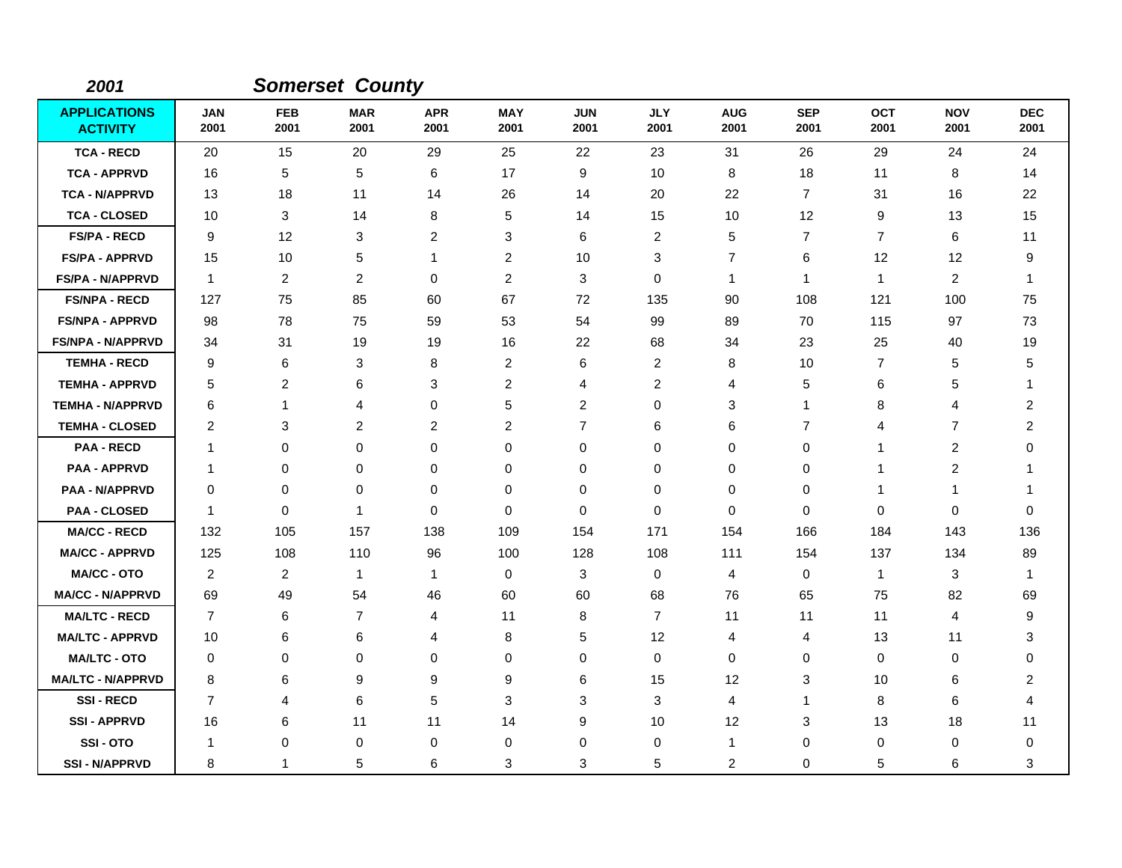| 2001                                   |                    |                    | <b>Somerset County</b> |                         |                    |                    |                    |                    |                    |                    |                         |                    |
|----------------------------------------|--------------------|--------------------|------------------------|-------------------------|--------------------|--------------------|--------------------|--------------------|--------------------|--------------------|-------------------------|--------------------|
| <b>APPLICATIONS</b><br><b>ACTIVITY</b> | <b>JAN</b><br>2001 | <b>FEB</b><br>2001 | <b>MAR</b><br>2001     | <b>APR</b><br>2001      | <b>MAY</b><br>2001 | <b>JUN</b><br>2001 | <b>JLY</b><br>2001 | <b>AUG</b><br>2001 | <b>SEP</b><br>2001 | <b>OCT</b><br>2001 | <b>NOV</b><br>2001      | <b>DEC</b><br>2001 |
| <b>TCA - RECD</b>                      | 20                 | 15                 | 20                     | 29                      | 25                 | 22                 | 23                 | 31                 | 26                 | 29                 | 24                      | 24                 |
| <b>TCA - APPRVD</b>                    | 16                 | 5                  | 5                      | 6                       | 17                 | 9                  | 10                 | 8                  | 18                 | 11                 | 8                       | 14                 |
| <b>TCA - N/APPRVD</b>                  | 13                 | 18                 | 11                     | 14                      | 26                 | 14                 | 20                 | 22                 | $\overline{7}$     | 31                 | 16                      | 22                 |
| <b>TCA - CLOSED</b>                    | 10                 | 3                  | 14                     | 8                       | 5                  | 14                 | 15                 | 10                 | 12                 | 9                  | 13                      | 15                 |
| <b>FS/PA - RECD</b>                    | 9                  | 12                 | 3                      | $\overline{2}$          | 3                  | 6                  | 2                  | 5                  | 7                  | $\overline{7}$     | 6                       | 11                 |
| <b>FS/PA - APPRVD</b>                  | 15                 | 10                 | 5                      | 1                       | $\overline{2}$     | 10                 | 3                  | $\overline{7}$     | 6                  | 12                 | 12                      | 9                  |
| <b>FS/PA - N/APPRVD</b>                | $\mathbf{1}$       | $\overline{2}$     | $\overline{2}$         | 0                       | $\overline{2}$     | 3                  | 0                  | $\mathbf{1}$       | $\mathbf 1$        | $\mathbf{1}$       | $\overline{2}$          | -1                 |
| <b>FS/NPA - RECD</b>                   | 127                | 75                 | 85                     | 60                      | 67                 | 72                 | 135                | 90                 | 108                | 121                | 100                     | 75                 |
| <b>FS/NPA - APPRVD</b>                 | 98                 | 78                 | 75                     | 59                      | 53                 | 54                 | 99                 | 89                 | 70                 | 115                | 97                      | 73                 |
| <b>FS/NPA - N/APPRVD</b>               | 34                 | 31                 | 19                     | 19                      | 16                 | 22                 | 68                 | 34                 | 23                 | 25                 | 40                      | 19                 |
| <b>TEMHA - RECD</b>                    | 9                  | 6                  | 3                      | 8                       | $\overline{2}$     | 6                  | $\overline{c}$     | 8                  | 10                 | $\overline{7}$     | 5                       | 5                  |
| <b>TEMHA - APPRVD</b>                  | 5                  | $\overline{c}$     | 6                      | 3                       | $\overline{c}$     | 4                  | $\overline{c}$     | 4                  | 5                  | 6                  | 5                       | -1                 |
| <b>TEMHA - N/APPRVD</b>                | 6                  | -1                 | 4                      | 0                       | 5                  | 2                  | 0                  | 3                  | 1                  | 8                  | 4                       | $\overline{2}$     |
| <b>TEMHA - CLOSED</b>                  | 2                  | 3                  | 2                      | $\overline{\mathbf{c}}$ | $\overline{c}$     | $\overline{7}$     | 6                  | 6                  | 7                  | 4                  | 7                       | $\overline{2}$     |
| <b>PAA - RECD</b>                      | $\mathbf 1$        | $\mathbf 0$        | $\mathbf 0$            | 0                       | $\pmb{0}$          | 0                  | 0                  | 0                  | $\mathbf 0$        | -1                 | $\overline{c}$          | 0                  |
| <b>PAA - APPRVD</b>                    | $\mathbf 1$        | 0                  | $\mathbf 0$            | 0                       | 0                  | 0                  | 0                  | 0                  | $\mathbf 0$        | 1                  | $\overline{\mathbf{c}}$ | 1                  |
| <b>PAA - N/APPRVD</b>                  | $\mathbf 0$        | 0                  | $\mathbf 0$            | 0                       | 0                  | 0                  | 0                  | 0                  | 0                  | 1                  | 1                       | 1                  |
| <b>PAA - CLOSED</b>                    | $\mathbf 1$        | $\mathbf 0$        | -1                     | 0                       | $\mathbf 0$        | 0                  | 0                  | $\mathbf 0$        | $\mathbf 0$        | $\mathbf 0$        | $\mathbf 0$             | 0                  |
| <b>MA/CC - RECD</b>                    | 132                | 105                | 157                    | 138                     | 109                | 154                | 171                | 154                | 166                | 184                | 143                     | 136                |
| <b>MA/CC - APPRVD</b>                  | 125                | 108                | 110                    | 96                      | 100                | 128                | 108                | 111                | 154                | 137                | 134                     | 89                 |
| <b>MA/CC - OTO</b>                     | 2                  | 2                  | $\mathbf{1}$           | 1                       | 0                  | 3                  | 0                  | 4                  | $\mathbf 0$        | $\mathbf{1}$       | 3                       | -1                 |
| <b>MA/CC - N/APPRVD</b>                | 69                 | 49                 | 54                     | 46                      | 60                 | 60                 | 68                 | 76                 | 65                 | 75                 | 82                      | 69                 |
| <b>MA/LTC - RECD</b>                   | $\overline{7}$     | 6                  | $\overline{7}$         | 4                       | 11                 | 8                  | $\overline{7}$     | 11                 | 11                 | 11                 | 4                       | 9                  |
| <b>MA/LTC - APPRVD</b>                 | 10                 | 6                  | 6                      | 4                       | 8                  | 5                  | 12                 | 4                  | 4                  | 13                 | 11                      | 3                  |
| <b>MA/LTC - OTO</b>                    | 0                  | 0                  | 0                      | 0                       | 0                  | 0                  | 0                  | 0                  | 0                  | 0                  | 0                       | 0                  |
| <b>MA/LTC - N/APPRVD</b>               | 8                  | 6                  | 9                      | 9                       | 9                  | 6                  | 15                 | 12                 | 3                  | 10                 | 6                       | 2                  |
| <b>SSI-RECD</b>                        | $\overline{7}$     | 4                  | 6                      | 5                       | 3                  | 3                  | 3                  | 4                  | 1                  | 8                  | 6                       | 4                  |
| <b>SSI-APPRVD</b>                      | 16                 | 6                  | 11                     | 11                      | 14                 | 9                  | 10                 | 12                 | 3                  | 13                 | 18                      | 11                 |
| SSI-OTO                                | -1                 | 0                  | $\mathbf 0$            | 0                       | 0                  | 0                  | 0                  | $\mathbf{1}$       | 0                  | 0                  | 0                       | 0                  |
| <b>SSI - N/APPRVD</b>                  | 8                  | 1                  | 5                      | 6                       | 3                  | 3                  | 5                  | $\overline{c}$     | 0                  | 5                  | 6                       | 3                  |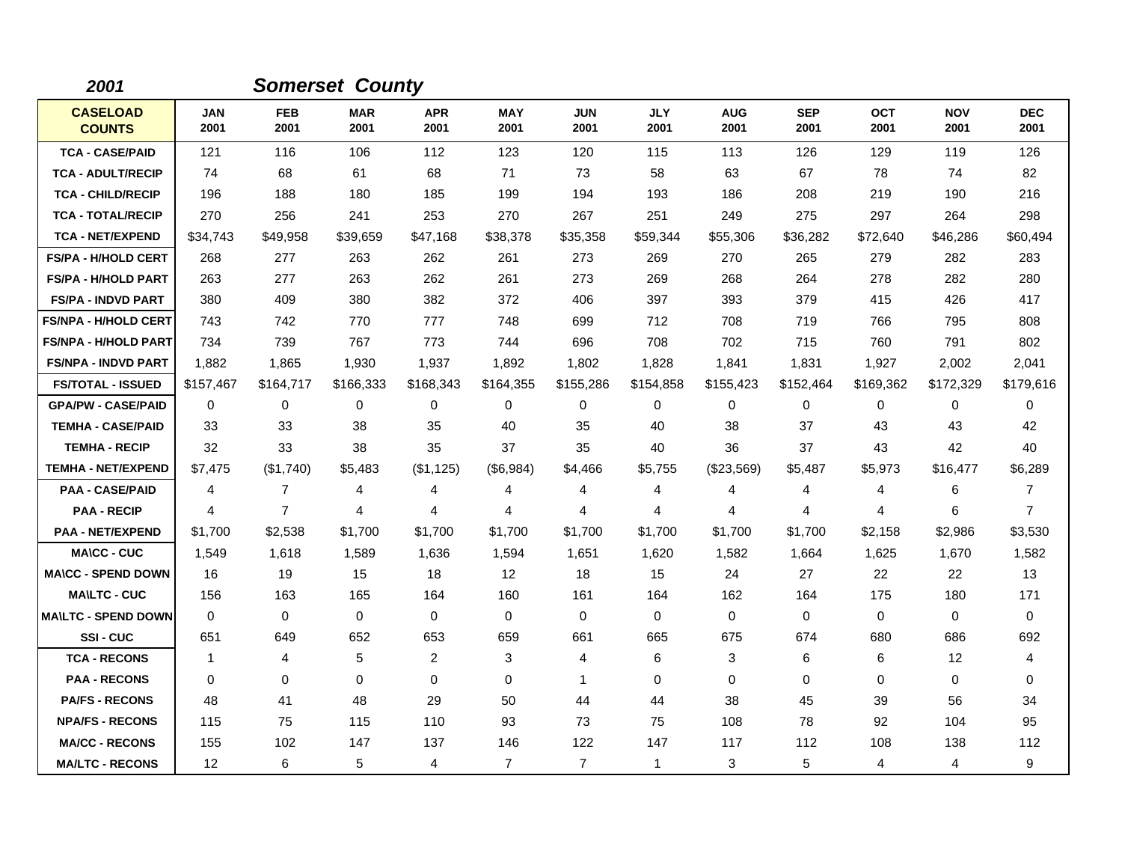| 2001                             |                    |                    | <b>Somerset County</b> |                    |                    |                    |                    |                    |                    |                    |                    |                    |
|----------------------------------|--------------------|--------------------|------------------------|--------------------|--------------------|--------------------|--------------------|--------------------|--------------------|--------------------|--------------------|--------------------|
| <b>CASELOAD</b><br><b>COUNTS</b> | <b>JAN</b><br>2001 | <b>FEB</b><br>2001 | <b>MAR</b><br>2001     | <b>APR</b><br>2001 | <b>MAY</b><br>2001 | <b>JUN</b><br>2001 | <b>JLY</b><br>2001 | <b>AUG</b><br>2001 | <b>SEP</b><br>2001 | <b>OCT</b><br>2001 | <b>NOV</b><br>2001 | <b>DEC</b><br>2001 |
| <b>TCA - CASE/PAID</b>           | 121                | 116                | 106                    | 112                | 123                | 120                | 115                | 113                | 126                | 129                | 119                | 126                |
| <b>TCA - ADULT/RECIP</b>         | 74                 | 68                 | 61                     | 68                 | 71                 | 73                 | 58                 | 63                 | 67                 | 78                 | 74                 | 82                 |
| <b>TCA - CHILD/RECIP</b>         | 196                | 188                | 180                    | 185                | 199                | 194                | 193                | 186                | 208                | 219                | 190                | 216                |
| <b>TCA - TOTAL/RECIP</b>         | 270                | 256                | 241                    | 253                | 270                | 267                | 251                | 249                | 275                | 297                | 264                | 298                |
| <b>TCA - NET/EXPEND</b>          | \$34,743           | \$49,958           | \$39,659               | \$47,168           | \$38,378           | \$35,358           | \$59,344           | \$55,306           | \$36,282           | \$72,640           | \$46,286           | \$60,494           |
| <b>FS/PA - H/HOLD CERT</b>       | 268                | 277                | 263                    | 262                | 261                | 273                | 269                | 270                | 265                | 279                | 282                | 283                |
| <b>FS/PA - H/HOLD PART</b>       | 263                | 277                | 263                    | 262                | 261                | 273                | 269                | 268                | 264                | 278                | 282                | 280                |
| <b>FS/PA - INDVD PART</b>        | 380                | 409                | 380                    | 382                | 372                | 406                | 397                | 393                | 379                | 415                | 426                | 417                |
| <b>FS/NPA - H/HOLD CERT</b>      | 743                | 742                | 770                    | 777                | 748                | 699                | 712                | 708                | 719                | 766                | 795                | 808                |
| <b>FS/NPA - H/HOLD PART</b>      | 734                | 739                | 767                    | 773                | 744                | 696                | 708                | 702                | 715                | 760                | 791                | 802                |
| <b>FS/NPA - INDVD PART</b>       | 1,882              | 1,865              | 1,930                  | 1,937              | 1,892              | 1,802              | 1,828              | 1,841              | 1,831              | 1,927              | 2,002              | 2,041              |
| <b>FS/TOTAL - ISSUED</b>         | \$157,467          | \$164,717          | \$166,333              | \$168,343          | \$164,355          | \$155,286          | \$154,858          | \$155,423          | \$152,464          | \$169,362          | \$172,329          | \$179,616          |
| <b>GPA/PW - CASE/PAID</b>        | 0                  | 0                  | 0                      | 0                  | 0                  | 0                  | 0                  | 0                  | 0                  | 0                  | 0                  | 0                  |
| <b>TEMHA - CASE/PAID</b>         | 33                 | 33                 | 38                     | 35                 | 40                 | 35                 | 40                 | 38                 | 37                 | 43                 | 43                 | 42                 |
| <b>TEMHA - RECIP</b>             | 32                 | 33                 | 38                     | 35                 | 37                 | 35                 | 40                 | 36                 | 37                 | 43                 | 42                 | 40                 |
| <b>TEMHA - NET/EXPEND</b>        | \$7,475            | (\$1,740)          | \$5,483                | (\$1,125)          | (\$6,984)          | \$4,466            | \$5,755            | (\$23,569)         | \$5,487            | \$5,973            | \$16,477           | \$6,289            |
| <b>PAA - CASE/PAID</b>           | 4                  | $\overline{7}$     | 4                      | 4                  | 4                  | 4                  | 4                  | 4                  | 4                  | 4                  | 6                  | 7                  |
| <b>PAA - RECIP</b>               | 4                  | $\overline{7}$     | 4                      | 4                  | 4                  | 4                  | 4                  | 4                  | 4                  | 4                  | 6                  | $\overline{7}$     |
| <b>PAA - NET/EXPEND</b>          | \$1,700            | \$2,538            | \$1,700                | \$1,700            | \$1,700            | \$1,700            | \$1,700            | \$1,700            | \$1,700            | \$2,158            | \$2,986            | \$3,530            |
| <b>MA\CC - CUC</b>               | 1,549              | 1,618              | 1,589                  | 1,636              | 1,594              | 1,651              | 1,620              | 1,582              | 1,664              | 1,625              | 1,670              | 1,582              |
| <b>MA\CC - SPEND DOWN</b>        | 16                 | 19                 | 15                     | 18                 | 12                 | 18                 | 15                 | 24                 | 27                 | 22                 | 22                 | 13                 |
| <b>MA\LTC - CUC</b>              | 156                | 163                | 165                    | 164                | 160                | 161                | 164                | 162                | 164                | 175                | 180                | 171                |
| <b>MA\LTC - SPEND DOWN</b>       | $\mathbf 0$        | 0                  | $\mathbf 0$            | 0                  | $\mathbf 0$        | $\mathbf 0$        | 0                  | 0                  | $\mathbf 0$        | $\mathbf 0$        | $\mathbf 0$        | 0                  |
| SSI-CUC                          | 651                | 649                | 652                    | 653                | 659                | 661                | 665                | 675                | 674                | 680                | 686                | 692                |
| <b>TCA - RECONS</b>              | $\mathbf 1$        | 4                  | 5                      | $\overline{2}$     | 3                  | 4                  | 6                  | 3                  | 6                  | 6                  | 12                 | 4                  |
| <b>PAA - RECONS</b>              | $\mathbf 0$        | 0                  | $\mathbf 0$            | 0                  | 0                  | $\mathbf{1}$       | 0                  | 0                  | $\mathbf 0$        | 0                  | $\mathbf 0$        | 0                  |
| <b>PA/FS - RECONS</b>            | 48                 | 41                 | 48                     | 29                 | 50                 | 44                 | 44                 | 38                 | 45                 | 39                 | 56                 | 34                 |
| <b>NPA/FS - RECONS</b>           | 115                | 75                 | 115                    | 110                | 93                 | 73                 | 75                 | 108                | 78                 | 92                 | 104                | 95                 |
| <b>MA/CC - RECONS</b>            | 155                | 102                | 147                    | 137                | 146                | 122                | 147                | 117                | 112                | 108                | 138                | 112                |
| <b>MA/LTC - RECONS</b>           | 12                 | 6                  | 5                      | 4                  | $\overline{7}$     | $\overline{7}$     | $\mathbf{1}$       | 3                  | 5                  | 4                  | 4                  | 9                  |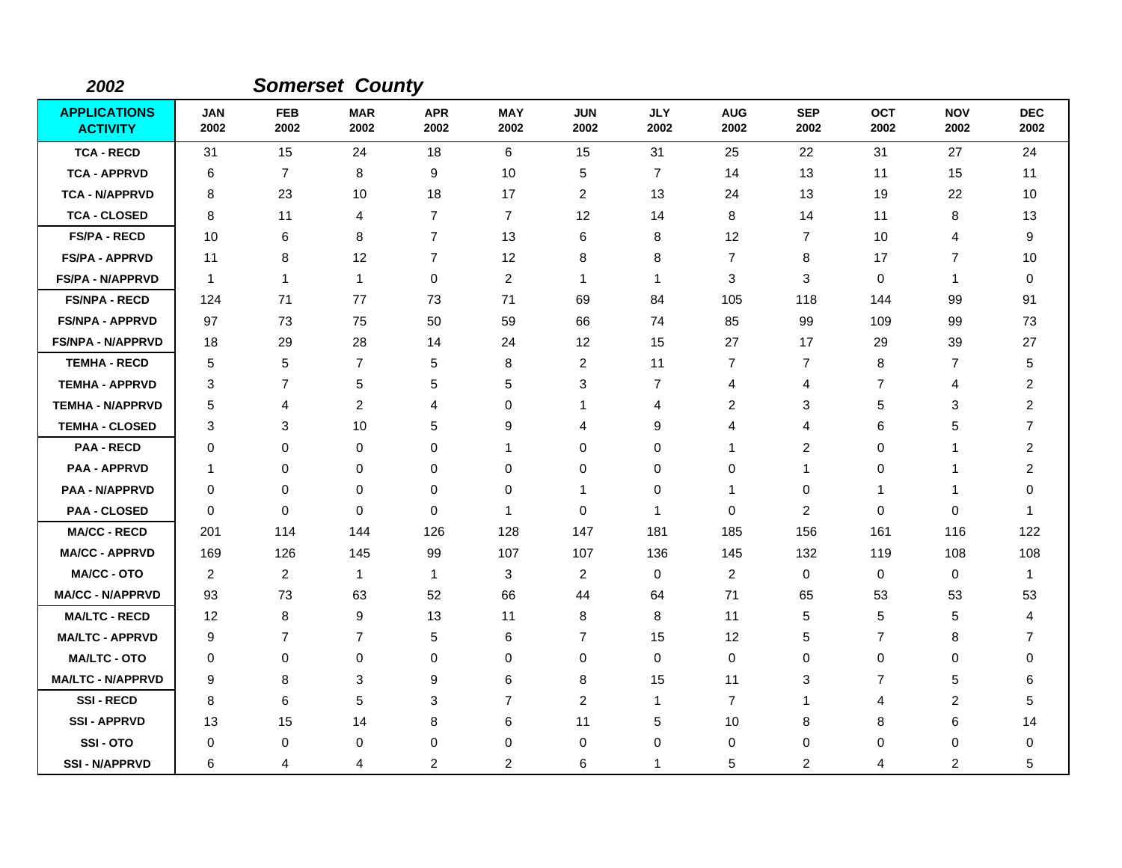| 2002                                   |                    |                    | <b>Somerset County</b> |                    |                    |                    |                    |                    |                    |                    |                    |                    |
|----------------------------------------|--------------------|--------------------|------------------------|--------------------|--------------------|--------------------|--------------------|--------------------|--------------------|--------------------|--------------------|--------------------|
| <b>APPLICATIONS</b><br><b>ACTIVITY</b> | <b>JAN</b><br>2002 | <b>FEB</b><br>2002 | <b>MAR</b><br>2002     | <b>APR</b><br>2002 | <b>MAY</b><br>2002 | <b>JUN</b><br>2002 | <b>JLY</b><br>2002 | <b>AUG</b><br>2002 | <b>SEP</b><br>2002 | <b>OCT</b><br>2002 | <b>NOV</b><br>2002 | <b>DEC</b><br>2002 |
| <b>TCA - RECD</b>                      | 31                 | 15                 | 24                     | 18                 | $\,6\,$            | 15                 | 31                 | 25                 | 22                 | 31                 | 27                 | 24                 |
| <b>TCA - APPRVD</b>                    | 6                  | $\overline{7}$     | 8                      | 9                  | 10                 | 5                  | $\overline{7}$     | 14                 | 13                 | 11                 | 15                 | 11                 |
| <b>TCA - N/APPRVD</b>                  | 8                  | 23                 | 10                     | 18                 | 17                 | $\overline{c}$     | 13                 | 24                 | 13                 | 19                 | 22                 | 10                 |
| <b>TCA - CLOSED</b>                    | 8                  | 11                 | 4                      | $\overline{7}$     | $\overline{7}$     | 12                 | 14                 | 8                  | 14                 | 11                 | 8                  | 13                 |
| <b>FS/PA - RECD</b>                    | 10                 | 6                  | 8                      | $\overline{7}$     | 13                 | 6                  | 8                  | 12                 | $\overline{7}$     | 10                 | 4                  | 9                  |
| <b>FS/PA - APPRVD</b>                  | 11                 | 8                  | 12                     | $\overline{7}$     | 12                 | 8                  | 8                  | $\overline{7}$     | 8                  | 17                 | $\overline{7}$     | 10                 |
| <b>FS/PA - N/APPRVD</b>                | $\overline{1}$     | $\mathbf{1}$       | $\overline{1}$         | 0                  | $\overline{2}$     | 1                  | 1                  | 3                  | 3                  | 0                  | $\mathbf{1}$       | $\mathbf 0$        |
| <b>FS/NPA - RECD</b>                   | 124                | 71                 | 77                     | 73                 | 71                 | 69                 | 84                 | 105                | 118                | 144                | 99                 | 91                 |
| <b>FS/NPA - APPRVD</b>                 | 97                 | 73                 | 75                     | 50                 | 59                 | 66                 | 74                 | 85                 | 99                 | 109                | 99                 | 73                 |
| <b>FS/NPA - N/APPRVD</b>               | 18                 | 29                 | 28                     | 14                 | 24                 | 12                 | 15                 | 27                 | 17                 | 29                 | 39                 | 27                 |
| <b>TEMHA - RECD</b>                    | 5                  | 5                  | $\overline{7}$         | 5                  | 8                  | $\overline{c}$     | 11                 | 7                  | $\overline{7}$     | 8                  | $\overline{7}$     | 5                  |
| <b>TEMHA - APPRVD</b>                  | 3                  | 7                  | 5                      | 5                  | 5                  | 3                  | $\overline{7}$     | 4                  | 4                  | 7                  | $\overline{4}$     | 2                  |
| <b>TEMHA - N/APPRVD</b>                | 5                  | 4                  | $\overline{c}$         | 4                  | 0                  | 1                  | 4                  | $\overline{c}$     | 3                  | 5                  | 3                  | 2                  |
| <b>TEMHA - CLOSED</b>                  | 3                  | 3                  | 10                     | 5                  | 9                  | 4                  | 9                  | 4                  | $\overline{4}$     | 6                  | 5                  | $\overline{7}$     |
| <b>PAA - RECD</b>                      | $\Omega$           | $\mathbf 0$        | 0                      | 0                  | 1                  | 0                  | 0                  | 1                  | $\overline{c}$     | 0                  | -1                 | 2                  |
| <b>PAA - APPRVD</b>                    | $\mathbf{1}$       | 0                  | 0                      | 0                  | $\mathbf 0$        | $\mathbf 0$        | $\mathbf 0$        | 0                  | $\mathbf{1}$       | 0                  | $\mathbf{1}$       | 2                  |
| <b>PAA - N/APPRVD</b>                  | 0                  | $\mathbf 0$        | 0                      | 0                  | $\mathbf 0$        | 1                  | 0                  | 1                  | 0                  | $\mathbf{1}$       | $\mathbf{1}$       | 0                  |
| <b>PAA - CLOSED</b>                    | $\Omega$           | $\mathbf 0$        | $\Omega$               | $\Omega$           | $\overline{1}$     | $\Omega$           | 1                  | 0                  | 2                  | 0                  | 0                  | 1                  |
| <b>MA/CC - RECD</b>                    | 201                | 114                | 144                    | 126                | 128                | 147                | 181                | 185                | 156                | 161                | 116                | 122                |
| <b>MA/CC - APPRVD</b>                  | 169                | 126                | 145                    | 99                 | 107                | 107                | 136                | 145                | 132                | 119                | 108                | 108                |
| <b>MA/CC - OTO</b>                     | 2                  | 2                  | $\mathbf{1}$           | $\mathbf{1}$       | 3                  | 2                  | $\mathbf 0$        | $\overline{2}$     | 0                  | 0                  | 0                  | -1                 |
| <b>MA/CC - N/APPRVD</b>                | 93                 | 73                 | 63                     | 52                 | 66                 | 44                 | 64                 | 71                 | 65                 | 53                 | 53                 | 53                 |
| <b>MA/LTC - RECD</b>                   | 12                 | 8                  | 9                      | 13                 | 11                 | 8                  | 8                  | 11                 | 5                  | 5                  | 5                  | 4                  |
| <b>MA/LTC - APPRVD</b>                 | 9                  | $\overline{7}$     | $\overline{7}$         | 5                  | 6                  | $\overline{7}$     | 15                 | 12                 | 5                  | 7                  | 8                  | $\overline{7}$     |
| <b>MA/LTC - OTO</b>                    | 0                  | $\mathbf 0$        | 0                      | 0                  | 0                  | 0                  | 0                  | 0                  | $\mathbf 0$        | 0                  | 0                  | 0                  |
| <b>MA/LTC - N/APPRVD</b>               | 9                  | 8                  | 3                      | 9                  | 6                  | 8                  | 15                 | 11                 | 3                  | $\overline{7}$     | 5                  | 6                  |
| <b>SSI-RECD</b>                        | 8                  | 6                  | 5                      | 3                  | $\overline{7}$     | $\overline{c}$     | $\mathbf{1}$       | $\overline{7}$     | -1                 | 4                  | $\overline{c}$     | 5                  |
| <b>SSI-APPRVD</b>                      | 13                 | 15                 | 14                     | 8                  | 6                  | 11                 | 5                  | 10                 | 8                  | 8                  | 6                  | 14                 |
| SSI-OTO                                | 0                  | 0                  | 0                      | 0                  | $\mathbf 0$        | 0                  | $\mathbf 0$        | 0                  | $\mathbf 0$        | 0                  | 0                  | 0                  |
| <b>SSI-N/APPRVD</b>                    | 6                  | 4                  | 4                      | 2                  | 2                  | 6                  | 1                  | 5                  | $\overline{2}$     | 4                  | $\overline{c}$     | 5                  |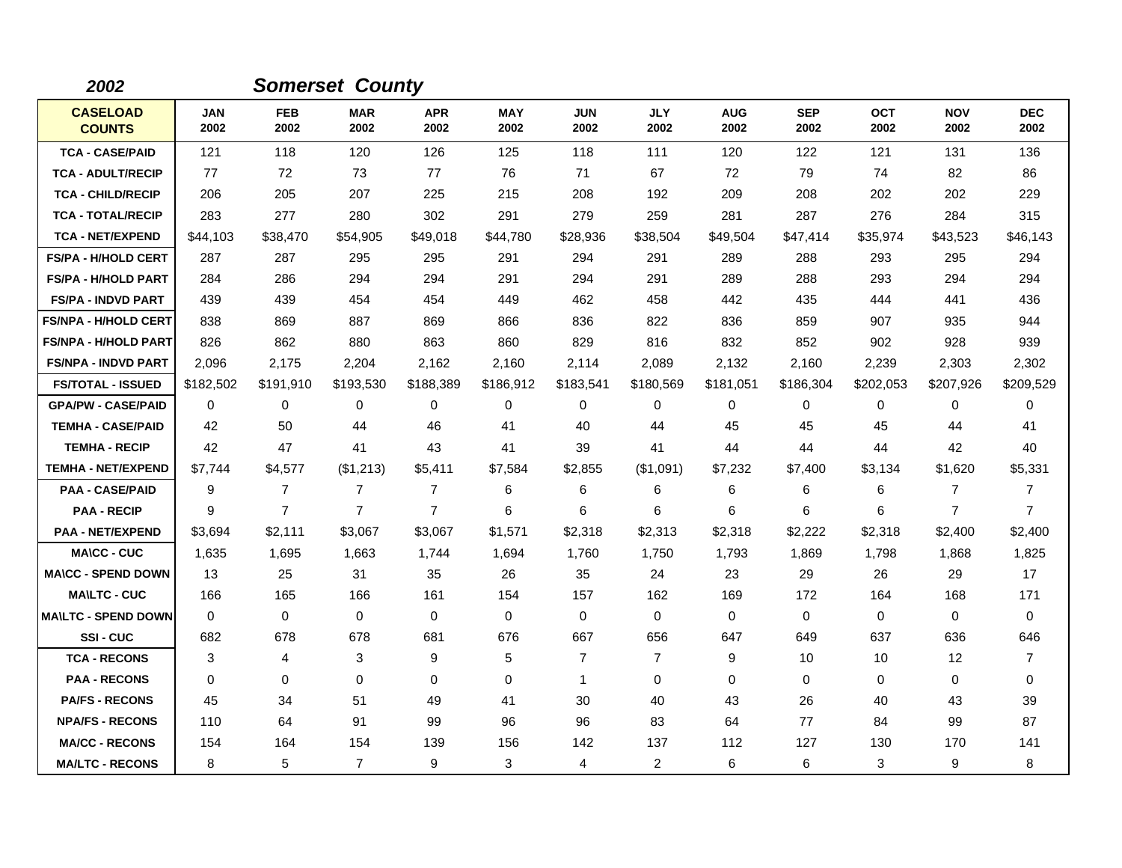| 2002                             |                    |                    | <b>Somerset County</b> |                    |                    |                    |                    |                    |                    |                    |                    |                    |
|----------------------------------|--------------------|--------------------|------------------------|--------------------|--------------------|--------------------|--------------------|--------------------|--------------------|--------------------|--------------------|--------------------|
| <b>CASELOAD</b><br><b>COUNTS</b> | <b>JAN</b><br>2002 | <b>FEB</b><br>2002 | <b>MAR</b><br>2002     | <b>APR</b><br>2002 | <b>MAY</b><br>2002 | <b>JUN</b><br>2002 | <b>JLY</b><br>2002 | <b>AUG</b><br>2002 | <b>SEP</b><br>2002 | <b>OCT</b><br>2002 | <b>NOV</b><br>2002 | <b>DEC</b><br>2002 |
| <b>TCA - CASE/PAID</b>           | 121                | 118                | 120                    | 126                | 125                | 118                | 111                | 120                | 122                | 121                | 131                | 136                |
| <b>TCA - ADULT/RECIP</b>         | 77                 | 72                 | 73                     | 77                 | 76                 | 71                 | 67                 | 72                 | 79                 | 74                 | 82                 | 86                 |
| <b>TCA - CHILD/RECIP</b>         | 206                | 205                | 207                    | 225                | 215                | 208                | 192                | 209                | 208                | 202                | 202                | 229                |
| <b>TCA - TOTAL/RECIP</b>         | 283                | 277                | 280                    | 302                | 291                | 279                | 259                | 281                | 287                | 276                | 284                | 315                |
| <b>TCA - NET/EXPEND</b>          | \$44,103           | \$38,470           | \$54,905               | \$49,018           | \$44,780           | \$28,936           | \$38,504           | \$49,504           | \$47,414           | \$35,974           | \$43,523           | \$46,143           |
| <b>FS/PA - H/HOLD CERT</b>       | 287                | 287                | 295                    | 295                | 291                | 294                | 291                | 289                | 288                | 293                | 295                | 294                |
| <b>FS/PA - H/HOLD PART</b>       | 284                | 286                | 294                    | 294                | 291                | 294                | 291                | 289                | 288                | 293                | 294                | 294                |
| <b>FS/PA - INDVD PART</b>        | 439                | 439                | 454                    | 454                | 449                | 462                | 458                | 442                | 435                | 444                | 441                | 436                |
| <b>FS/NPA - H/HOLD CERT</b>      | 838                | 869                | 887                    | 869                | 866                | 836                | 822                | 836                | 859                | 907                | 935                | 944                |
| <b>FS/NPA - H/HOLD PART</b>      | 826                | 862                | 880                    | 863                | 860                | 829                | 816                | 832                | 852                | 902                | 928                | 939                |
| <b>FS/NPA - INDVD PART</b>       | 2,096              | 2,175              | 2,204                  | 2,162              | 2,160              | 2,114              | 2,089              | 2,132              | 2,160              | 2,239              | 2,303              | 2,302              |
| <b>FS/TOTAL - ISSUED</b>         | \$182,502          | \$191,910          | \$193,530              | \$188,389          | \$186,912          | \$183,541          | \$180,569          | \$181,051          | \$186,304          | \$202,053          | \$207,926          | \$209,529          |
| <b>GPA/PW - CASE/PAID</b>        | $\Omega$           | 0                  | $\Omega$               | 0                  | 0                  | $\Omega$           | 0                  | 0                  | $\Omega$           | $\Omega$           | 0                  | $\Omega$           |
| <b>TEMHA - CASE/PAID</b>         | 42                 | 50                 | 44                     | 46                 | 41                 | 40                 | 44                 | 45                 | 45                 | 45                 | 44                 | 41                 |
| <b>TEMHA - RECIP</b>             | 42                 | 47                 | 41                     | 43                 | 41                 | 39                 | 41                 | 44                 | 44                 | 44                 | 42                 | 40                 |
| <b>TEMHA - NET/EXPEND</b>        | \$7,744            | \$4,577            | (\$1,213)              | \$5,411            | \$7,584            | \$2,855            | (\$1,091)          | \$7,232            | \$7,400            | \$3,134            | \$1,620            | \$5,331            |
| <b>PAA - CASE/PAID</b>           | 9                  | 7                  | $\overline{7}$         | $\overline{7}$     | 6                  | 6                  | 6                  | 6                  | 6                  | 6                  | $\overline{7}$     | 7                  |
| <b>PAA - RECIP</b>               | 9                  | $\overline{7}$     | $\overline{7}$         | $\overline{7}$     | 6                  | 6                  | 6                  | 6                  | 6                  | 6                  | $\overline{7}$     | $\overline{7}$     |
| <b>PAA - NET/EXPEND</b>          | \$3,694            | \$2,111            | \$3,067                | \$3,067            | \$1,571            | \$2,318            | \$2,313            | \$2,318            | \$2,222            | \$2,318            | \$2,400            | \$2,400            |
| <b>MA\CC - CUC</b>               | 1,635              | 1,695              | 1,663                  | 1,744              | 1,694              | 1,760              | 1,750              | 1,793              | 1,869              | 1,798              | 1,868              | 1,825              |
| <b>MA\CC - SPEND DOWN</b>        | 13                 | 25                 | 31                     | 35                 | 26                 | 35                 | 24                 | 23                 | 29                 | 26                 | 29                 | 17                 |
| <b>MA\LTC - CUC</b>              | 166                | 165                | 166                    | 161                | 154                | 157                | 162                | 169                | 172                | 164                | 168                | 171                |
| <b>MAILTC - SPEND DOWN</b>       | $\Omega$           | $\Omega$           | $\mathbf{0}$           | $\Omega$           | 0                  | $\Omega$           | $\Omega$           | 0                  | $\Omega$           | 0                  | $\mathbf 0$        | 0                  |
| SSI-CUC                          | 682                | 678                | 678                    | 681                | 676                | 667                | 656                | 647                | 649                | 637                | 636                | 646                |
| <b>TCA - RECONS</b>              | 3                  | 4                  | 3                      | 9                  | 5                  | 7                  | $\overline{7}$     | 9                  | 10                 | 10                 | 12                 | 7                  |
| <b>PAA - RECONS</b>              | $\Omega$           | 0                  | $\Omega$               | $\Omega$           | 0                  | $\mathbf{1}$       | $\Omega$           | $\Omega$           | $\Omega$           | $\Omega$           | 0                  | 0                  |
| <b>PA/FS - RECONS</b>            | 45                 | 34                 | 51                     | 49                 | 41                 | 30                 | 40                 | 43                 | 26                 | 40                 | 43                 | 39                 |
| <b>NPA/FS - RECONS</b>           | 110                | 64                 | 91                     | 99                 | 96                 | 96                 | 83                 | 64                 | 77                 | 84                 | 99                 | 87                 |
| <b>MA/CC - RECONS</b>            | 154                | 164                | 154                    | 139                | 156                | 142                | 137                | 112                | 127                | 130                | 170                | 141                |
| <b>MA/LTC - RECONS</b>           | 8                  | 5                  | $\overline{7}$         | 9                  | 3                  | 4                  | $\overline{2}$     | 6                  | 6                  | 3                  | 9                  | 8                  |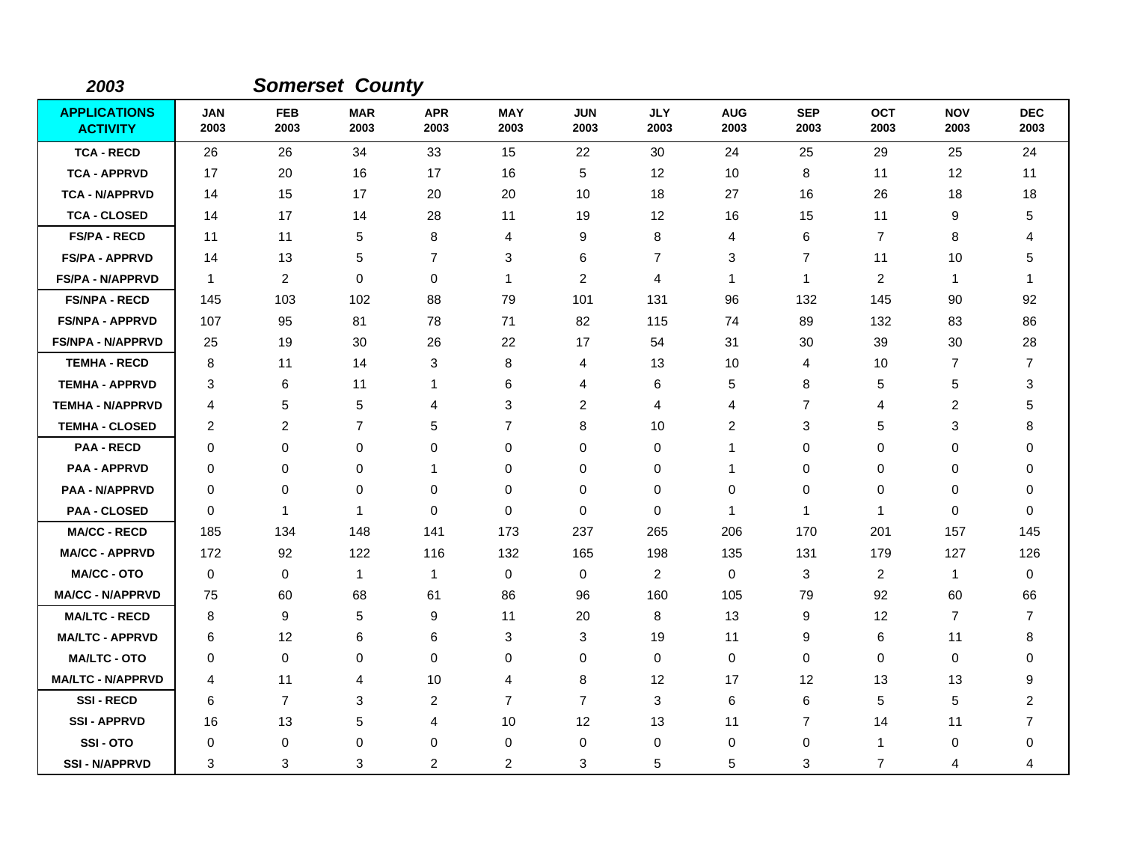| 2003                                   |                    |                    | <b>Somerset County</b> |                    |                    |                    |                    |                    |                    |                    |                    |                    |
|----------------------------------------|--------------------|--------------------|------------------------|--------------------|--------------------|--------------------|--------------------|--------------------|--------------------|--------------------|--------------------|--------------------|
| <b>APPLICATIONS</b><br><b>ACTIVITY</b> | <b>JAN</b><br>2003 | <b>FEB</b><br>2003 | <b>MAR</b><br>2003     | <b>APR</b><br>2003 | <b>MAY</b><br>2003 | <b>JUN</b><br>2003 | <b>JLY</b><br>2003 | <b>AUG</b><br>2003 | <b>SEP</b><br>2003 | <b>OCT</b><br>2003 | <b>NOV</b><br>2003 | <b>DEC</b><br>2003 |
| <b>TCA - RECD</b>                      | 26                 | 26                 | 34                     | 33                 | 15                 | 22                 | 30                 | 24                 | 25                 | 29                 | 25                 | 24                 |
| <b>TCA - APPRVD</b>                    | 17                 | 20                 | 16                     | 17                 | 16                 | 5                  | 12                 | 10                 | 8                  | 11                 | 12                 | 11                 |
| <b>TCA - N/APPRVD</b>                  | 14                 | 15                 | 17                     | 20                 | 20                 | 10                 | 18                 | 27                 | 16                 | 26                 | 18                 | 18                 |
| <b>TCA - CLOSED</b>                    | 14                 | 17                 | 14                     | 28                 | 11                 | 19                 | 12                 | 16                 | 15                 | 11                 | 9                  | 5                  |
| <b>FS/PA - RECD</b>                    | 11                 | 11                 | 5                      | 8                  | 4                  | 9                  | 8                  | 4                  | 6                  | $\overline{7}$     | 8                  | 4                  |
| <b>FS/PA - APPRVD</b>                  | 14                 | 13                 | 5                      | $\overline{7}$     | 3                  | 6                  | $\overline{7}$     | 3                  | 7                  | 11                 | 10                 | 5                  |
| <b>FS/PA - N/APPRVD</b>                | $\mathbf{1}$       | $\overline{2}$     | $\mathbf 0$            | $\mathbf 0$        | $\mathbf{1}$       | $\overline{c}$     | 4                  | $\mathbf{1}$       | $\mathbf 1$        | 2                  | $\mathbf{1}$       | -1                 |
| <b>FS/NPA - RECD</b>                   | 145                | 103                | 102                    | 88                 | 79                 | 101                | 131                | 96                 | 132                | 145                | 90                 | 92                 |
| <b>FS/NPA - APPRVD</b>                 | 107                | 95                 | 81                     | 78                 | 71                 | 82                 | 115                | 74                 | 89                 | 132                | 83                 | 86                 |
| <b>FS/NPA - N/APPRVD</b>               | 25                 | 19                 | 30                     | 26                 | 22                 | 17                 | 54                 | 31                 | 30                 | 39                 | 30                 | 28                 |
| <b>TEMHA - RECD</b>                    | 8                  | 11                 | 14                     | 3                  | 8                  | 4                  | 13                 | 10                 | 4                  | 10                 | 7                  | $\overline{7}$     |
| <b>TEMHA - APPRVD</b>                  | 3                  | 6                  | 11                     | 1                  | $\,6$              | 4                  | 6                  | 5                  | 8                  | 5                  | 5                  | 3                  |
| <b>TEMHA - N/APPRVD</b>                | 4                  | 5                  | 5                      | 4                  | 3                  | $\overline{c}$     | 4                  | 4                  | $\overline{7}$     | 4                  | $\overline{c}$     | 5                  |
| <b>TEMHA - CLOSED</b>                  | $\overline{2}$     | 2                  | $\overline{7}$         | 5                  | $\overline{7}$     | 8                  | 10                 | 2                  | 3                  | 5                  | 3                  | 8                  |
| <b>PAA - RECD</b>                      | $\Omega$           | 0                  | 0                      | 0                  | 0                  | 0                  | 0                  | 1                  | 0                  | 0                  | 0                  | $\Omega$           |
| <b>PAA - APPRVD</b>                    | 0                  | $\mathbf 0$        | $\mathbf 0$            | 1                  | $\mathbf 0$        | 0                  | $\mathbf 0$        | 1                  | $\mathbf 0$        | 0                  | 0                  | 0                  |
| <b>PAA - N/APPRVD</b>                  | 0                  | 0                  | 0                      | 0                  | $\mathbf 0$        | 0                  | 0                  | 0                  | $\pmb{0}$          | 0                  | 0                  | 0                  |
| <b>PAA - CLOSED</b>                    | $\Omega$           | $\mathbf{1}$       | $\mathbf{1}$           | $\Omega$           | $\mathbf 0$        | $\Omega$           | 0                  | $\mathbf{1}$       | $\mathbf 1$        | $\mathbf{1}$       | 0                  | $\Omega$           |
| <b>MA/CC - RECD</b>                    | 185                | 134                | 148                    | 141                | 173                | 237                | 265                | 206                | 170                | 201                | 157                | 145                |
| <b>MA/CC - APPRVD</b>                  | 172                | 92                 | 122                    | 116                | 132                | 165                | 198                | 135                | 131                | 179                | 127                | 126                |
| <b>MA/CC - OTO</b>                     | $\mathbf 0$        | 0                  | $\mathbf{1}$           | 1                  | $\mathbf 0$        | 0                  | $\overline{2}$     | 0                  | 3                  | 2                  | $\mathbf{1}$       | 0                  |
| <b>MA/CC - N/APPRVD</b>                | 75                 | 60                 | 68                     | 61                 | 86                 | 96                 | 160                | 105                | 79                 | 92                 | 60                 | 66                 |
| <b>MA/LTC - RECD</b>                   | 8                  | 9                  | 5                      | 9                  | 11                 | 20                 | 8                  | 13                 | 9                  | 12                 | 7                  | 7                  |
| <b>MA/LTC - APPRVD</b>                 | 6                  | 12                 | 6                      | 6                  | 3                  | 3                  | 19                 | 11                 | 9                  | 6                  | 11                 | 8                  |
| <b>MA/LTC - OTO</b>                    | 0                  | 0                  | 0                      | 0                  | 0                  | 0                  | 0                  | 0                  | $\pmb{0}$          | 0                  | 0                  | 0                  |
| <b>MA/LTC - N/APPRVD</b>               | 4                  | 11                 | 4                      | 10                 | 4                  | 8                  | 12                 | 17                 | 12                 | 13                 | 13                 | 9                  |
| <b>SSI-RECD</b>                        | 6                  | $\overline{7}$     | $\sqrt{3}$             | $\overline{c}$     | $\overline{7}$     | 7                  | $\mathbf{3}$       | 6                  | $\,6$              | 5                  | 5                  | $\overline{2}$     |
| <b>SSI - APPRVD</b>                    | 16                 | 13                 | 5                      | 4                  | 10                 | 12                 | 13                 | 11                 | $\overline{7}$     | 14                 | 11                 | $\overline{7}$     |
| SSI-OTO                                | 0                  | 0                  | 0                      | 0                  | 0                  | 0                  | 0                  | 0                  | 0                  | 1                  | 0                  | 0                  |
| <b>SSI - N/APPRVD</b>                  | 3                  | 3                  | 3                      | 2                  | $\overline{c}$     | 3                  | 5                  | 5                  | 3                  | $\overline{7}$     | 4                  | 4                  |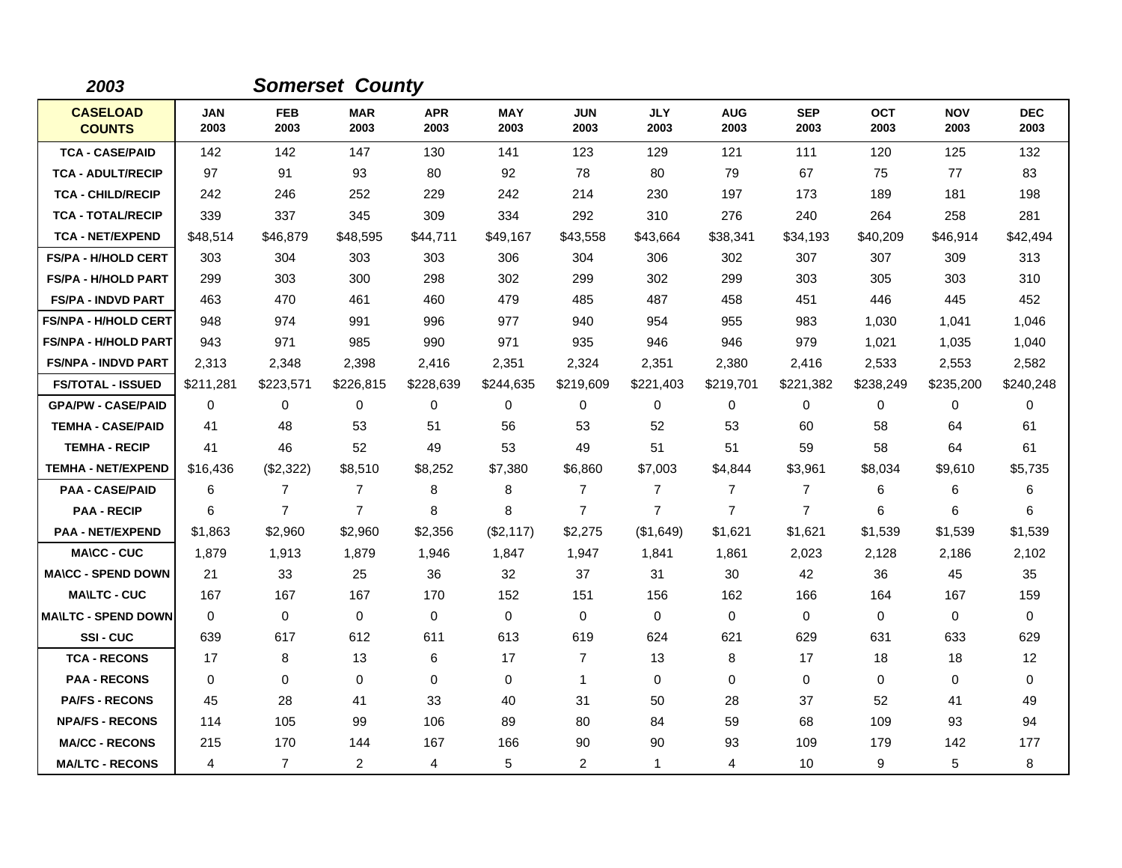| 2003                             |                    |                    | <b>Somerset County</b> |                    |                    |                    |                    |                    |                    |                    |                    |                    |
|----------------------------------|--------------------|--------------------|------------------------|--------------------|--------------------|--------------------|--------------------|--------------------|--------------------|--------------------|--------------------|--------------------|
| <b>CASELOAD</b><br><b>COUNTS</b> | <b>JAN</b><br>2003 | <b>FEB</b><br>2003 | <b>MAR</b><br>2003     | <b>APR</b><br>2003 | <b>MAY</b><br>2003 | <b>JUN</b><br>2003 | <b>JLY</b><br>2003 | <b>AUG</b><br>2003 | <b>SEP</b><br>2003 | <b>OCT</b><br>2003 | <b>NOV</b><br>2003 | <b>DEC</b><br>2003 |
| <b>TCA - CASE/PAID</b>           | 142                | 142                | 147                    | 130                | 141                | 123                | 129                | 121                | 111                | 120                | 125                | 132                |
| <b>TCA - ADULT/RECIP</b>         | 97                 | 91                 | 93                     | 80                 | 92                 | 78                 | 80                 | 79                 | 67                 | 75                 | 77                 | 83                 |
| <b>TCA - CHILD/RECIP</b>         | 242                | 246                | 252                    | 229                | 242                | 214                | 230                | 197                | 173                | 189                | 181                | 198                |
| <b>TCA - TOTAL/RECIP</b>         | 339                | 337                | 345                    | 309                | 334                | 292                | 310                | 276                | 240                | 264                | 258                | 281                |
| <b>TCA - NET/EXPEND</b>          | \$48,514           | \$46,879           | \$48,595               | \$44,711           | \$49,167           | \$43,558           | \$43,664           | \$38,341           | \$34,193           | \$40,209           | \$46,914           | \$42,494           |
| <b>FS/PA - H/HOLD CERT</b>       | 303                | 304                | 303                    | 303                | 306                | 304                | 306                | 302                | 307                | 307                | 309                | 313                |
| <b>FS/PA - H/HOLD PART</b>       | 299                | 303                | 300                    | 298                | 302                | 299                | 302                | 299                | 303                | 305                | 303                | 310                |
| <b>FS/PA - INDVD PART</b>        | 463                | 470                | 461                    | 460                | 479                | 485                | 487                | 458                | 451                | 446                | 445                | 452                |
| <b>FS/NPA - H/HOLD CERT</b>      | 948                | 974                | 991                    | 996                | 977                | 940                | 954                | 955                | 983                | 1,030              | 1,041              | 1,046              |
| <b>FS/NPA - H/HOLD PART</b>      | 943                | 971                | 985                    | 990                | 971                | 935                | 946                | 946                | 979                | 1,021              | 1,035              | 1,040              |
| <b>FS/NPA - INDVD PART</b>       | 2,313              | 2,348              | 2,398                  | 2,416              | 2,351              | 2,324              | 2,351              | 2,380              | 2,416              | 2,533              | 2,553              | 2,582              |
| <b>FS/TOTAL - ISSUED</b>         | \$211,281          | \$223,571          | \$226,815              | \$228,639          | \$244,635          | \$219,609          | \$221,403          | \$219,701          | \$221,382          | \$238,249          | \$235,200          | \$240,248          |
| <b>GPA/PW - CASE/PAID</b>        | $\Omega$           | $\Omega$           | $\Omega$               | 0                  | 0                  | $\Omega$           | $\Omega$           | 0                  | $\Omega$           | $\Omega$           | 0                  | $\Omega$           |
| <b>TEMHA - CASE/PAID</b>         | 41                 | 48                 | 53                     | 51                 | 56                 | 53                 | 52                 | 53                 | 60                 | 58                 | 64                 | 61                 |
| <b>TEMHA - RECIP</b>             | 41                 | 46                 | 52                     | 49                 | 53                 | 49                 | 51                 | 51                 | 59                 | 58                 | 64                 | 61                 |
| <b>TEMHA - NET/EXPEND</b>        | \$16,436           | (\$2,322)          | \$8,510                | \$8,252            | \$7,380            | \$6,860            | \$7,003            | \$4,844            | \$3,961            | \$8,034            | \$9,610            | \$5,735            |
| <b>PAA - CASE/PAID</b>           | 6                  | $\overline{7}$     | $\overline{7}$         | 8                  | 8                  | 7                  | $\overline{7}$     | $\overline{7}$     | 7                  | 6                  | 6                  | 6                  |
| <b>PAA - RECIP</b>               | 6                  | $\overline{7}$     | $\overline{7}$         | 8                  | 8                  | $\overline{7}$     | $\overline{7}$     | $\overline{7}$     | $\overline{7}$     | 6                  | 6                  | 6                  |
| <b>PAA - NET/EXPEND</b>          | \$1,863            | \$2,960            | \$2,960                | \$2,356            | (\$2,117)          | \$2,275            | (\$1,649)          | \$1,621            | \$1,621            | \$1,539            | \$1,539            | \$1,539            |
| <b>MA\CC - CUC</b>               | 1.879              | 1,913              | 1,879                  | 1.946              | 1,847              | 1,947              | 1,841              | 1,861              | 2,023              | 2,128              | 2,186              | 2,102              |
| <b>MA\CC - SPEND DOWN</b>        | 21                 | 33                 | 25                     | 36                 | 32                 | 37                 | 31                 | 30                 | 42                 | 36                 | 45                 | 35                 |
| <b>MA\LTC - CUC</b>              | 167                | 167                | 167                    | 170                | 152                | 151                | 156                | 162                | 166                | 164                | 167                | 159                |
| <b>MAILTC - SPEND DOWN</b>       | $\Omega$           | $\Omega$           | $\mathbf 0$            | $\mathbf{0}$       | $\Omega$           | $\Omega$           | $\Omega$           | 0                  | $\Omega$           | $\Omega$           | 0                  | $\Omega$           |
| SSI-CUC                          | 639                | 617                | 612                    | 611                | 613                | 619                | 624                | 621                | 629                | 631                | 633                | 629                |
| <b>TCA - RECONS</b>              | 17                 | 8                  | 13                     | 6                  | 17                 | 7                  | 13                 | 8                  | 17                 | 18                 | 18                 | 12                 |
| <b>PAA - RECONS</b>              | $\Omega$           | $\Omega$           | $\Omega$               | $\Omega$           | 0                  | 1                  | $\Omega$           | $\Omega$           | $\Omega$           | $\Omega$           | 0                  | 0                  |
| <b>PA/FS - RECONS</b>            | 45                 | 28                 | 41                     | 33                 | 40                 | 31                 | 50                 | 28                 | 37                 | 52                 | 41                 | 49                 |
| <b>NPA/FS - RECONS</b>           | 114                | 105                | 99                     | 106                | 89                 | 80                 | 84                 | 59                 | 68                 | 109                | 93                 | 94                 |
| <b>MA/CC - RECONS</b>            | 215                | 170                | 144                    | 167                | 166                | 90                 | 90                 | 93                 | 109                | 179                | 142                | 177                |
| <b>MA/LTC - RECONS</b>           | 4                  | $\overline{7}$     | $\overline{2}$         | 4                  | 5                  | 2                  | $\mathbf{1}$       | 4                  | 10                 | 9                  | 5                  | 8                  |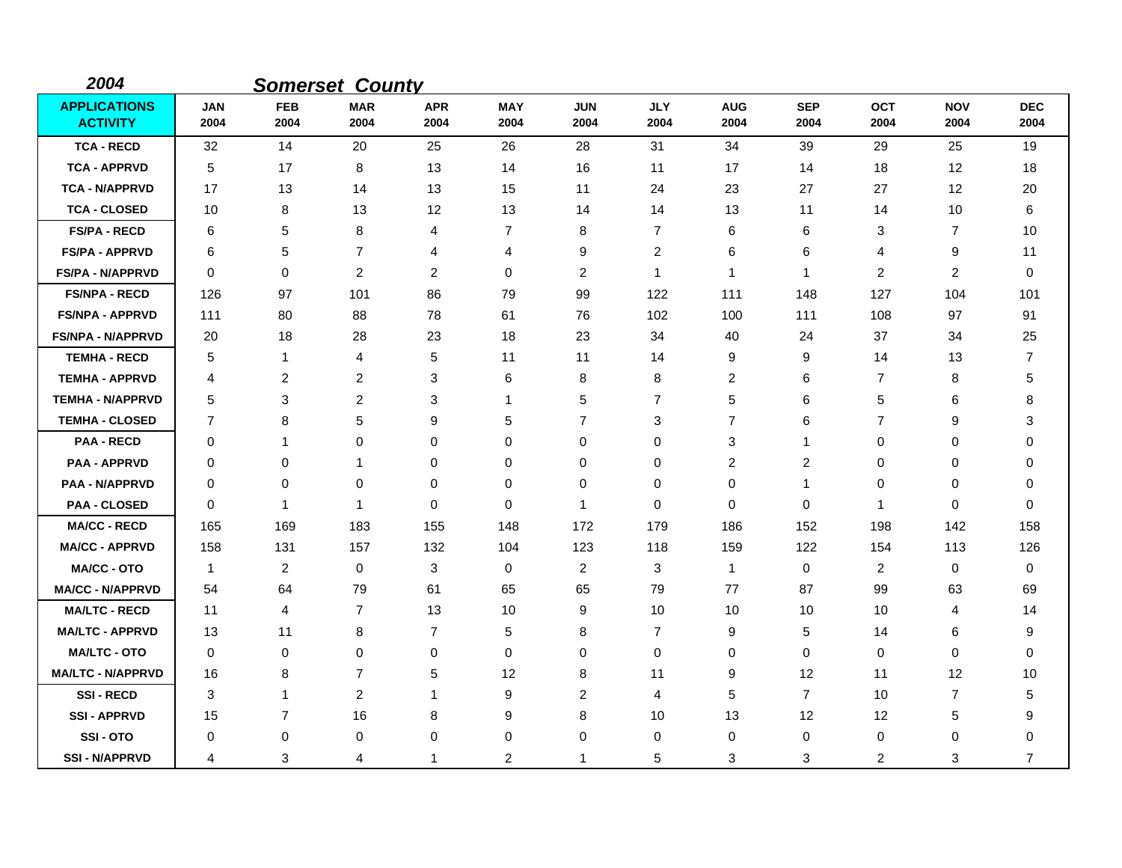| 2004                                   |                    |                    | <b>Somerset County</b> |                    |                    |                    |                    |                    |                         |                    |                    |                    |
|----------------------------------------|--------------------|--------------------|------------------------|--------------------|--------------------|--------------------|--------------------|--------------------|-------------------------|--------------------|--------------------|--------------------|
| <b>APPLICATIONS</b><br><b>ACTIVITY</b> | <b>JAN</b><br>2004 | <b>FEB</b><br>2004 | <b>MAR</b><br>2004     | <b>APR</b><br>2004 | <b>MAY</b><br>2004 | <b>JUN</b><br>2004 | <b>JLY</b><br>2004 | <b>AUG</b><br>2004 | <b>SEP</b><br>2004      | <b>OCT</b><br>2004 | <b>NOV</b><br>2004 | <b>DEC</b><br>2004 |
| <b>TCA - RECD</b>                      | 32                 | 14                 | 20                     | 25                 | 26                 | 28                 | 31                 | 34                 | 39                      | 29                 | 25                 | 19                 |
| <b>TCA - APPRVD</b>                    | 5                  | 17                 | 8                      | 13                 | 14                 | 16                 | 11                 | 17                 | 14                      | 18                 | 12                 | 18                 |
| <b>TCA - N/APPRVD</b>                  | 17                 | 13                 | 14                     | 13                 | 15                 | 11                 | 24                 | 23                 | 27                      | 27                 | 12                 | 20                 |
| <b>TCA - CLOSED</b>                    | 10                 | 8                  | 13                     | 12                 | 13                 | 14                 | 14                 | 13                 | 11                      | 14                 | 10                 | 6                  |
| <b>FS/PA - RECD</b>                    | 6                  | 5                  | 8                      | 4                  | $\overline{7}$     | 8                  | $\overline{7}$     | 6                  | 6                       | 3                  | 7                  | 10                 |
| <b>FS/PA - APPRVD</b>                  | 6                  | 5                  | $\overline{7}$         | 4                  | 4                  | 9                  | $\overline{c}$     | 6                  | 6                       | 4                  | 9                  | 11                 |
| <b>FS/PA - N/APPRVD</b>                | $\mathbf 0$        | 0                  | $\overline{c}$         | $\overline{c}$     | 0                  | $\overline{c}$     | $\mathbf{1}$       | $\mathbf{1}$       | 1                       | $\overline{c}$     | $\overline{c}$     | 0                  |
| <b>FS/NPA - RECD</b>                   | 126                | 97                 | 101                    | 86                 | 79                 | 99                 | 122                | 111                | 148                     | 127                | 104                | 101                |
| <b>FS/NPA - APPRVD</b>                 | 111                | 80                 | 88                     | 78                 | 61                 | 76                 | 102                | 100                | 111                     | 108                | 97                 | 91                 |
| <b>FS/NPA - N/APPRVD</b>               | 20                 | 18                 | 28                     | 23                 | 18                 | 23                 | 34                 | 40                 | 24                      | 37                 | 34                 | 25                 |
| <b>TEMHA - RECD</b>                    | 5                  | 1                  | 4                      | 5                  | 11                 | 11                 | 14                 | 9                  | 9                       | 14                 | 13                 | 7                  |
| <b>TEMHA - APPRVD</b>                  | 4                  | 2                  | 2                      | 3                  | 6                  | 8                  | 8                  | 2                  | 6                       | 7                  | 8                  | 5                  |
| <b>TEMHA - N/APPRVD</b>                | 5                  | 3                  | $\overline{c}$         | 3                  | $\mathbf 1$        | 5                  | $\overline{7}$     | 5                  | 6                       | 5                  | 6                  | 8                  |
| <b>TEMHA - CLOSED</b>                  | 7                  | 8                  | 5                      | 9                  | 5                  | $\overline{7}$     | 3                  | $\overline{7}$     | 6                       | 7                  | 9                  | 3                  |
| <b>PAA - RECD</b>                      | 0                  | 1                  | $\mathbf 0$            | 0                  | 0                  | 0                  | 0                  | 3                  | 1                       | 0                  | 0                  | 0                  |
| <b>PAA - APPRVD</b>                    | 0                  | 0                  | 1                      | 0                  | 0                  | 0                  | 0                  | 2                  | $\overline{\mathbf{c}}$ | 0                  | 0                  | 0                  |
| <b>PAA - N/APPRVD</b>                  | 0                  | 0                  | $\mathbf 0$            | 0                  | $\pmb{0}$          | 0                  | $\mathbf 0$        | 0                  | 1                       | 0                  | 0                  | 0                  |
| <b>PAA - CLOSED</b>                    | 0                  | 1                  | $\mathbf{1}$           | 0                  | 0                  | 1                  | 0                  | 0                  | 0                       | $\mathbf 1$        | 0                  | 0                  |
| <b>MA/CC - RECD</b>                    | 165                | 169                | 183                    | 155                | 148                | 172                | 179                | 186                | 152                     | 198                | 142                | 158                |
| <b>MA/CC - APPRVD</b>                  | 158                | 131                | 157                    | 132                | 104                | 123                | 118                | 159                | 122                     | 154                | 113                | 126                |
| <b>MA/CC - OTO</b>                     | $\mathbf{1}$       | $\overline{2}$     | 0                      | 3                  | 0                  | 2                  | 3                  | $\mathbf{1}$       | $\mathbf 0$             | $\overline{c}$     | 0                  | $\mathbf 0$        |
| <b>MA/CC - N/APPRVD</b>                | 54                 | 64                 | 79                     | 61                 | 65                 | 65                 | 79                 | 77                 | 87                      | 99                 | 63                 | 69                 |
| <b>MA/LTC - RECD</b>                   | 11                 | 4                  | $\overline{7}$         | 13                 | 10                 | 9                  | 10                 | 10                 | 10                      | 10                 | 4                  | 14                 |
| <b>MA/LTC - APPRVD</b>                 | 13                 | 11                 | 8                      | $\overline{7}$     | 5                  | 8                  | $\overline{7}$     | 9                  | 5                       | 14                 | 6                  | 9                  |
| <b>MA/LTC - OTO</b>                    | 0                  | 0                  | $\mathbf 0$            | 0                  | $\pmb{0}$          | 0                  | 0                  | 0                  | $\mathbf 0$             | 0                  | 0                  | 0                  |
| <b>MA/LTC - N/APPRVD</b>               | 16                 | 8                  | $\overline{7}$         | 5                  | 12                 | 8                  | 11                 | 9                  | 12                      | 11                 | 12                 | 10                 |
| <b>SSI-RECD</b>                        | 3                  | $\mathbf 1$        | $\overline{2}$         | 1                  | 9                  | 2                  | 4                  | 5                  | $\overline{7}$          | 10                 | 7                  | 5                  |
| <b>SSI-APPRVD</b>                      | 15                 | $\overline{7}$     | 16                     | 8                  | 9                  | 8                  | 10                 | 13                 | 12                      | 12                 | 5                  | 9                  |
| <b>SSI-OTO</b>                         | 0                  | 0                  | 0                      | 0                  | 0                  | 0                  | 0                  | 0                  | 0                       | 0                  | 0                  | 0                  |
| <b>SSI-N/APPRVD</b>                    | 4                  | 3                  | 4                      | 1                  | 2                  | 1                  | 5                  | 3                  | 3                       | 2                  | 3                  | $\overline{7}$     |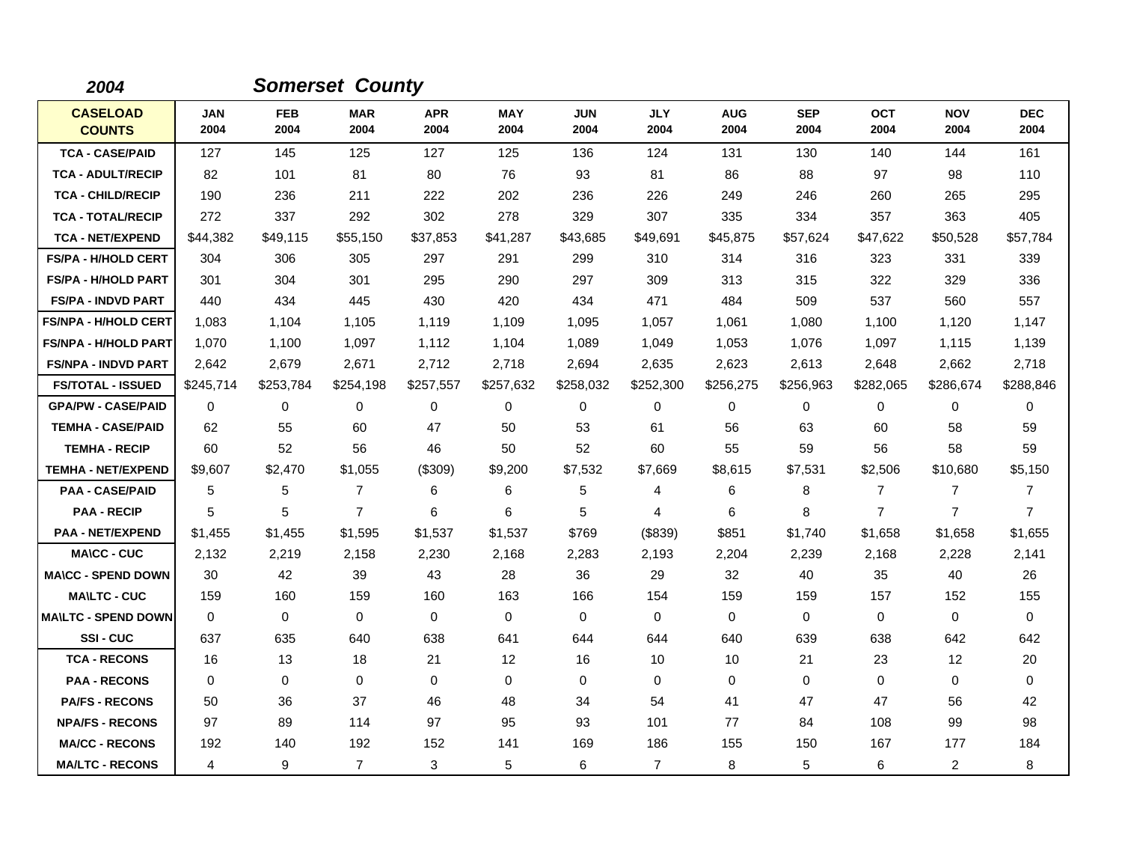| 2004                             |                    |                    | <b>Somerset County</b> |                    |                    |                    |                    |                    |                    |                    |                    |                    |
|----------------------------------|--------------------|--------------------|------------------------|--------------------|--------------------|--------------------|--------------------|--------------------|--------------------|--------------------|--------------------|--------------------|
| <b>CASELOAD</b><br><b>COUNTS</b> | <b>JAN</b><br>2004 | <b>FEB</b><br>2004 | <b>MAR</b><br>2004     | <b>APR</b><br>2004 | <b>MAY</b><br>2004 | <b>JUN</b><br>2004 | <b>JLY</b><br>2004 | <b>AUG</b><br>2004 | <b>SEP</b><br>2004 | <b>OCT</b><br>2004 | <b>NOV</b><br>2004 | <b>DEC</b><br>2004 |
| <b>TCA - CASE/PAID</b>           | 127                | 145                | 125                    | 127                | 125                | 136                | 124                | 131                | 130                | 140                | 144                | 161                |
| <b>TCA - ADULT/RECIP</b>         | 82                 | 101                | 81                     | 80                 | 76                 | 93                 | 81                 | 86                 | 88                 | 97                 | 98                 | 110                |
| <b>TCA - CHILD/RECIP</b>         | 190                | 236                | 211                    | 222                | 202                | 236                | 226                | 249                | 246                | 260                | 265                | 295                |
| <b>TCA - TOTAL/RECIP</b>         | 272                | 337                | 292                    | 302                | 278                | 329                | 307                | 335                | 334                | 357                | 363                | 405                |
| <b>TCA - NET/EXPEND</b>          | \$44,382           | \$49,115           | \$55,150               | \$37,853           | \$41,287           | \$43,685           | \$49,691           | \$45,875           | \$57,624           | \$47,622           | \$50,528           | \$57,784           |
| <b>FS/PA - H/HOLD CERT</b>       | 304                | 306                | 305                    | 297                | 291                | 299                | 310                | 314                | 316                | 323                | 331                | 339                |
| <b>FS/PA - H/HOLD PART</b>       | 301                | 304                | 301                    | 295                | 290                | 297                | 309                | 313                | 315                | 322                | 329                | 336                |
| <b>FS/PA - INDVD PART</b>        | 440                | 434                | 445                    | 430                | 420                | 434                | 471                | 484                | 509                | 537                | 560                | 557                |
| <b>FS/NPA - H/HOLD CERT</b>      | 1,083              | 1,104              | 1,105                  | 1,119              | 1,109              | 1,095              | 1,057              | 1,061              | 1,080              | 1,100              | 1,120              | 1,147              |
| <b>FS/NPA - H/HOLD PART</b>      | 1,070              | 1,100              | 1,097                  | 1,112              | 1,104              | 1,089              | 1,049              | 1,053              | 1,076              | 1,097              | 1,115              | 1,139              |
| <b>FS/NPA - INDVD PART</b>       | 2,642              | 2,679              | 2,671                  | 2,712              | 2,718              | 2,694              | 2,635              | 2,623              | 2,613              | 2,648              | 2,662              | 2,718              |
| <b>FS/TOTAL - ISSUED</b>         | \$245,714          | \$253,784          | \$254,198              | \$257,557          | \$257,632          | \$258,032          | \$252,300          | \$256,275          | \$256,963          | \$282,065          | \$286,674          | \$288,846          |
| <b>GPA/PW - CASE/PAID</b>        | $\Omega$           | 0                  | $\Omega$               | 0                  | 0                  | $\Omega$           | 0                  | 0                  | $\Omega$           | $\Omega$           | 0                  | $\Omega$           |
| <b>TEMHA - CASE/PAID</b>         | 62                 | 55                 | 60                     | 47                 | 50                 | 53                 | 61                 | 56                 | 63                 | 60                 | 58                 | 59                 |
| <b>TEMHA - RECIP</b>             | 60                 | 52                 | 56                     | 46                 | 50                 | 52                 | 60                 | 55                 | 59                 | 56                 | 58                 | 59                 |
| <b>TEMHA - NET/EXPEND</b>        | \$9,607            | \$2,470            | \$1,055                | (\$309)            | \$9,200            | \$7,532            | \$7,669            | \$8,615            | \$7,531            | \$2,506            | \$10,680           | \$5,150            |
| <b>PAA - CASE/PAID</b>           | 5                  | 5                  | $\overline{7}$         | 6                  | 6                  | 5                  | 4                  | 6                  | 8                  | $\overline{7}$     | $\overline{7}$     | 7                  |
| <b>PAA - RECIP</b>               | 5                  | 5                  | $\overline{7}$         | 6                  | 6                  | 5                  | 4                  | 6                  | 8                  | $\overline{7}$     | $\overline{7}$     | $\overline{7}$     |
| <b>PAA - NET/EXPEND</b>          | \$1,455            | \$1,455            | \$1,595                | \$1,537            | \$1,537            | \$769              | (\$839)            | \$851              | \$1,740            | \$1,658            | \$1,658            | \$1,655            |
| <b>MA\CC - CUC</b>               | 2,132              | 2,219              | 2,158                  | 2,230              | 2,168              | 2,283              | 2,193              | 2,204              | 2,239              | 2,168              | 2,228              | 2,141              |
| <b>MA\CC - SPEND DOWN</b>        | 30                 | 42                 | 39                     | 43                 | 28                 | 36                 | 29                 | 32                 | 40                 | 35                 | 40                 | 26                 |
| <b>MAILTC - CUC</b>              | 159                | 160                | 159                    | 160                | 163                | 166                | 154                | 159                | 159                | 157                | 152                | 155                |
| <b>MA\LTC - SPEND DOWN</b>       | 0                  | $\mathbf 0$        | $\mathbf 0$            | $\mathbf 0$        | $\mathbf 0$        | $\mathbf 0$        | 0                  | 0                  | $\mathbf 0$        | $\mathbf 0$        | $\mathbf 0$        | 0                  |
| SSI-CUC                          | 637                | 635                | 640                    | 638                | 641                | 644                | 644                | 640                | 639                | 638                | 642                | 642                |
| <b>TCA - RECONS</b>              | 16                 | 13                 | 18                     | 21                 | 12                 | 16                 | 10                 | 10                 | 21                 | 23                 | 12                 | 20                 |
| <b>PAA - RECONS</b>              | $\Omega$           | 0                  | $\mathbf 0$            | $\mathbf 0$        | 0                  | $\mathbf 0$        | 0                  | 0                  | $\mathbf 0$        | 0                  | $\mathbf 0$        | $\mathbf 0$        |
| <b>PA/FS - RECONS</b>            | 50                 | 36                 | 37                     | 46                 | 48                 | 34                 | 54                 | 41                 | 47                 | 47                 | 56                 | 42                 |
| <b>NPA/FS - RECONS</b>           | 97                 | 89                 | 114                    | 97                 | 95                 | 93                 | 101                | 77                 | 84                 | 108                | 99                 | 98                 |
| <b>MA/CC - RECONS</b>            | 192                | 140                | 192                    | 152                | 141                | 169                | 186                | 155                | 150                | 167                | 177                | 184                |
| <b>MA/LTC - RECONS</b>           | 4                  | 9                  | $\overline{7}$         | 3                  | 5                  | 6                  | $\overline{7}$     | 8                  | 5                  | 6                  | $\overline{2}$     | 8                  |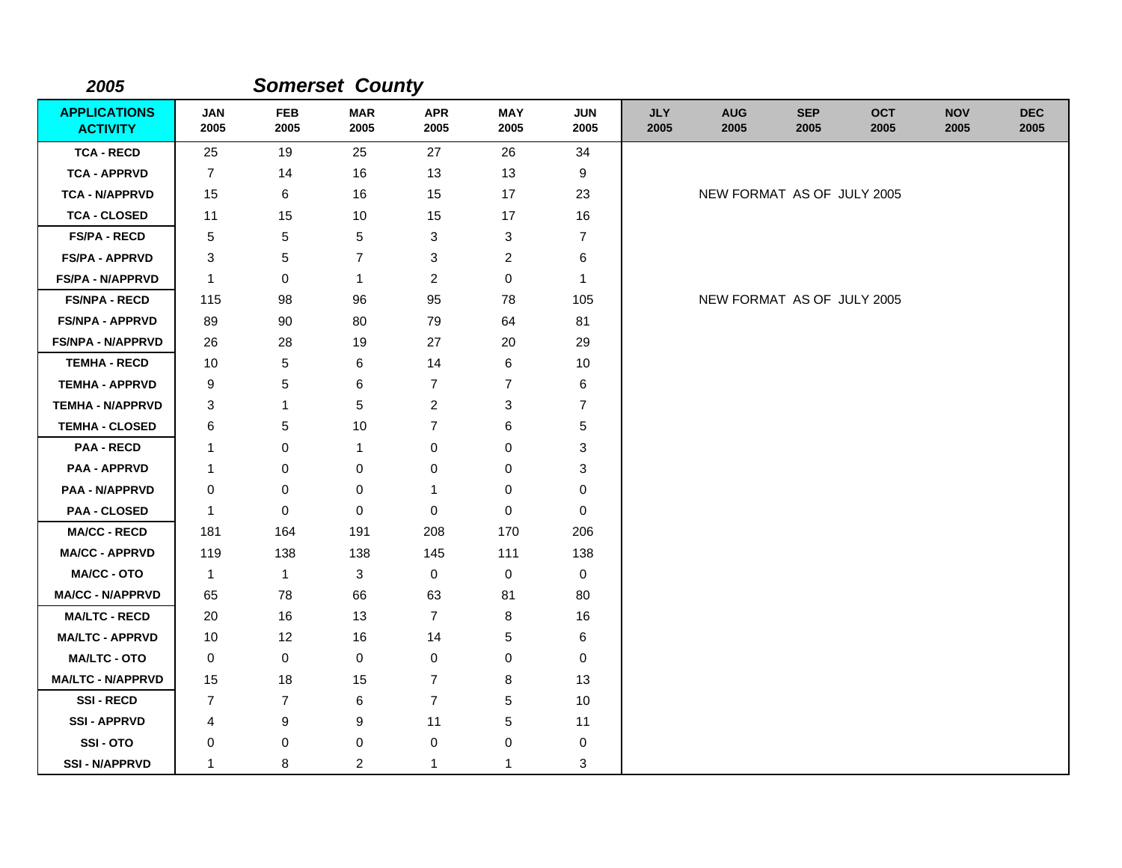| 2005                                   |                    |                    | <b>Somerset County</b> |                    |                    |                    |                    |                            |                    |                    |                    |                    |
|----------------------------------------|--------------------|--------------------|------------------------|--------------------|--------------------|--------------------|--------------------|----------------------------|--------------------|--------------------|--------------------|--------------------|
| <b>APPLICATIONS</b><br><b>ACTIVITY</b> | <b>JAN</b><br>2005 | <b>FEB</b><br>2005 | <b>MAR</b><br>2005     | <b>APR</b><br>2005 | <b>MAY</b><br>2005 | <b>JUN</b><br>2005 | <b>JLY</b><br>2005 | <b>AUG</b><br>2005         | <b>SEP</b><br>2005 | <b>OCT</b><br>2005 | <b>NOV</b><br>2005 | <b>DEC</b><br>2005 |
| <b>TCA - RECD</b>                      | 25                 | 19                 | 25                     | 27                 | 26                 | 34                 |                    |                            |                    |                    |                    |                    |
| <b>TCA - APPRVD</b>                    | $\overline{7}$     | 14                 | 16                     | 13                 | 13                 | 9                  |                    |                            |                    |                    |                    |                    |
| <b>TCA - N/APPRVD</b>                  | 15                 | 6                  | 16                     | 15                 | 17                 | 23                 |                    | NEW FORMAT AS OF JULY 2005 |                    |                    |                    |                    |
| <b>TCA - CLOSED</b>                    | 11                 | 15                 | 10                     | 15                 | 17                 | 16                 |                    |                            |                    |                    |                    |                    |
| <b>FS/PA - RECD</b>                    | 5                  | 5                  | 5                      | 3                  | 3                  | 7                  |                    |                            |                    |                    |                    |                    |
| <b>FS/PA - APPRVD</b>                  | 3                  | 5                  | $\overline{7}$         | 3                  | $\overline{2}$     | 6                  |                    |                            |                    |                    |                    |                    |
| <b>FS/PA - N/APPRVD</b>                | $\mathbf{1}$       | 0                  | $\mathbf{1}$           | $\overline{c}$     | 0                  | $\mathbf{1}$       |                    |                            |                    |                    |                    |                    |
| <b>FS/NPA - RECD</b>                   | 115                | 98                 | 96                     | 95                 | 78                 | 105                |                    | NEW FORMAT AS OF JULY 2005 |                    |                    |                    |                    |
| <b>FS/NPA - APPRVD</b>                 | 89                 | 90                 | 80                     | 79                 | 64                 | 81                 |                    |                            |                    |                    |                    |                    |
| <b>FS/NPA - N/APPRVD</b>               | 26                 | 28                 | 19                     | 27                 | 20                 | 29                 |                    |                            |                    |                    |                    |                    |
| <b>TEMHA - RECD</b>                    | 10                 | 5                  | 6                      | 14                 | 6                  | 10                 |                    |                            |                    |                    |                    |                    |
| <b>TEMHA - APPRVD</b>                  | 9                  | 5                  | 6                      | 7                  | 7                  | 6                  |                    |                            |                    |                    |                    |                    |
| <b>TEMHA - N/APPRVD</b>                | 3                  | $\mathbf{1}$       | 5                      | $\overline{2}$     | 3                  | $\overline{7}$     |                    |                            |                    |                    |                    |                    |
| <b>TEMHA - CLOSED</b>                  | 6                  | 5                  | 10                     | $\overline{7}$     | 6                  | 5                  |                    |                            |                    |                    |                    |                    |
| <b>PAA - RECD</b>                      | 1                  | 0                  | $\mathbf{1}$           | 0                  | 0                  | 3                  |                    |                            |                    |                    |                    |                    |
| <b>PAA - APPRVD</b>                    | 1                  | 0                  | 0                      | $\pmb{0}$          | 0                  | 3                  |                    |                            |                    |                    |                    |                    |
| <b>PAA - N/APPRVD</b>                  | 0                  | 0                  | 0                      | 1                  | 0                  | 0                  |                    |                            |                    |                    |                    |                    |
| <b>PAA - CLOSED</b>                    | $\mathbf{1}$       | $\mathbf 0$        | $\mathbf 0$            | 0                  | $\mathbf 0$        | $\mathbf 0$        |                    |                            |                    |                    |                    |                    |
| <b>MA/CC - RECD</b>                    | 181                | 164                | 191                    | 208                | 170                | 206                |                    |                            |                    |                    |                    |                    |
| <b>MA/CC - APPRVD</b>                  | 119                | 138                | 138                    | 145                | 111                | 138                |                    |                            |                    |                    |                    |                    |
| <b>MA/CC - OTO</b>                     | $\mathbf{1}$       | $\mathbf{1}$       | 3                      | 0                  | 0                  | 0                  |                    |                            |                    |                    |                    |                    |
| <b>MA/CC - N/APPRVD</b>                | 65                 | 78                 | 66                     | 63                 | 81                 | 80                 |                    |                            |                    |                    |                    |                    |
| <b>MA/LTC - RECD</b>                   | 20                 | 16                 | 13                     | $\overline{7}$     | 8                  | 16                 |                    |                            |                    |                    |                    |                    |
| <b>MA/LTC - APPRVD</b>                 | 10                 | 12                 | 16                     | 14                 | 5                  | $\,6$              |                    |                            |                    |                    |                    |                    |
| <b>MA/LTC - OTO</b>                    | 0                  | $\mathbf 0$        | 0                      | $\mathbf 0$        | 0                  | $\mathbf 0$        |                    |                            |                    |                    |                    |                    |
| <b>MA/LTC - N/APPRVD</b>               | 15                 | 18                 | 15                     | $\overline{7}$     | 8                  | 13                 |                    |                            |                    |                    |                    |                    |
| <b>SSI-RECD</b>                        | $\overline{7}$     | $\overline{7}$     | 6                      | $\overline{7}$     | 5                  | 10                 |                    |                            |                    |                    |                    |                    |
| <b>SSI - APPRVD</b>                    | 4                  | 9                  | 9                      | 11                 | 5                  | 11                 |                    |                            |                    |                    |                    |                    |
| SSI-OTO                                | 0                  | 0                  | $\pmb{0}$              | $\mathbf 0$        | 0                  | 0                  |                    |                            |                    |                    |                    |                    |
| <b>SSI - N/APPRVD</b>                  | $\mathbf{1}$       | 8                  | $\overline{c}$         | $\mathbf{1}$       | $\mathbf{1}$       | 3                  |                    |                            |                    |                    |                    |                    |